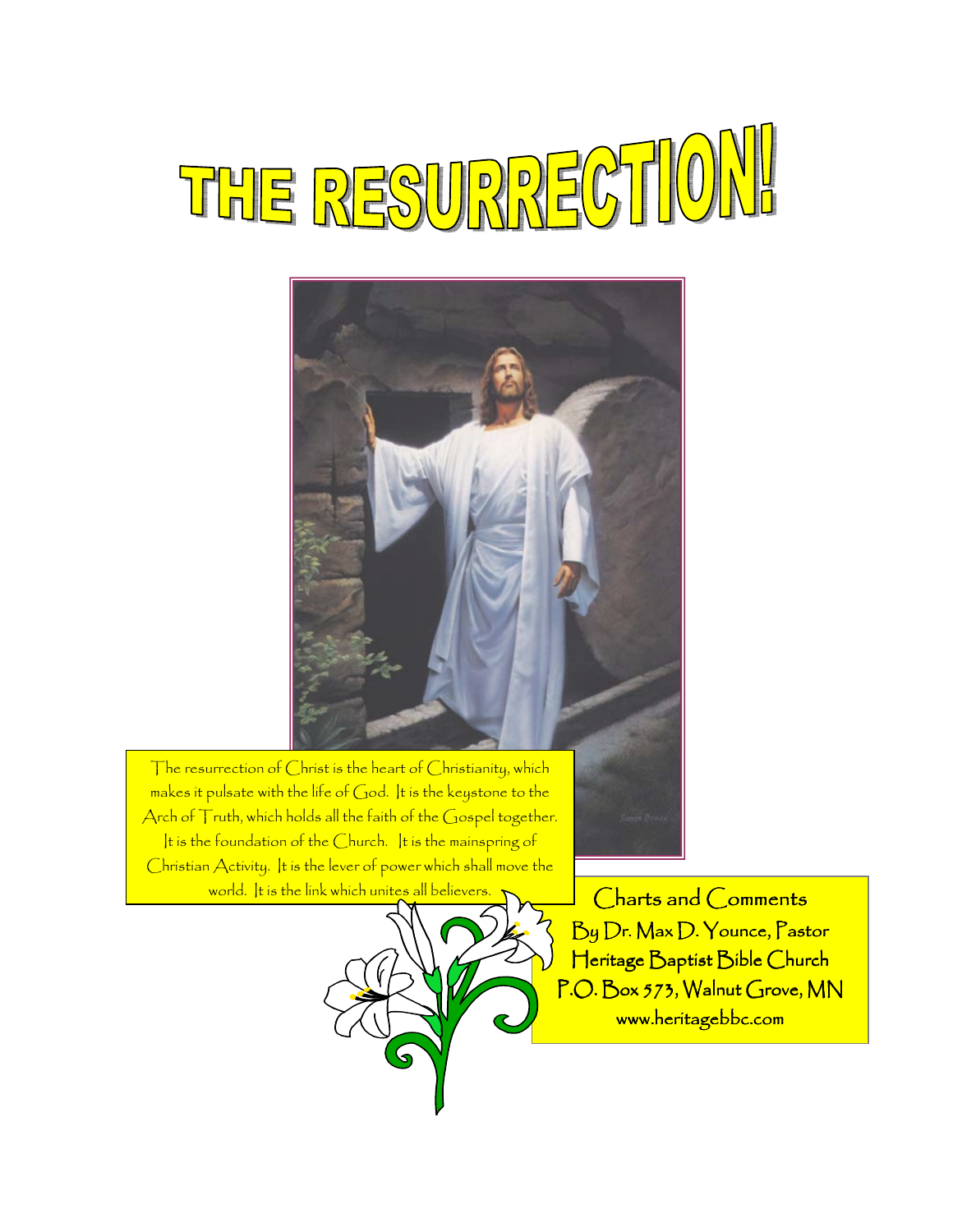# THE RESURRECTIO



The resurrection of Christ is the heart of Christianity, which makes it pulsate with the life of God. It is the keystone to the Arch of Truth, which holds all the faith of the Gospel together. It is the foundation of the Church. It is the mainspring of Christian Activity. It is the lever of power which shall move the world. It is the link which unites all believers



Charts and Comments By Dr. Max D. Younce, Pastor Heritage Baptist Bible Church P.O. Box 573, Walnut Grove, MN www.heritagebbc.com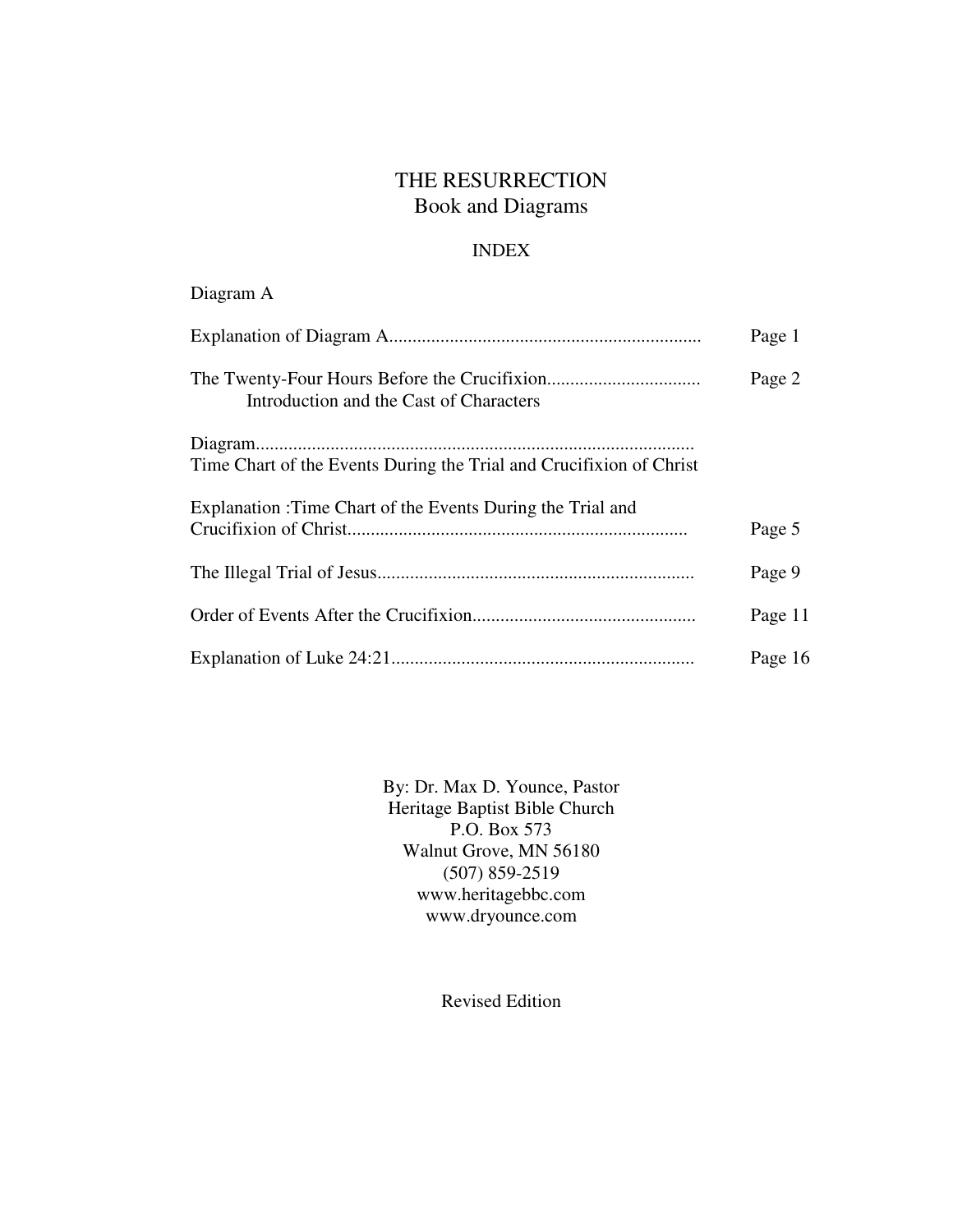# THE RESURRECTION Book and Diagrams

# INDEX

Diagram A

|                                                                     | Page 1  |
|---------------------------------------------------------------------|---------|
| Introduction and the Cast of Characters                             | Page 2  |
| Time Chart of the Events During the Trial and Crucifixion of Christ |         |
| Explanation : Time Chart of the Events During the Trial and         | Page 5  |
|                                                                     | Page 9  |
|                                                                     | Page 11 |
|                                                                     | Page 16 |

By: Dr. Max D. Younce, Pastor Heritage Baptist Bible Church P.O. Box 573 Walnut Grove, MN 56180 (507) 859-2519 www.heritagebbc.com www.dryounce.com

Revised Edition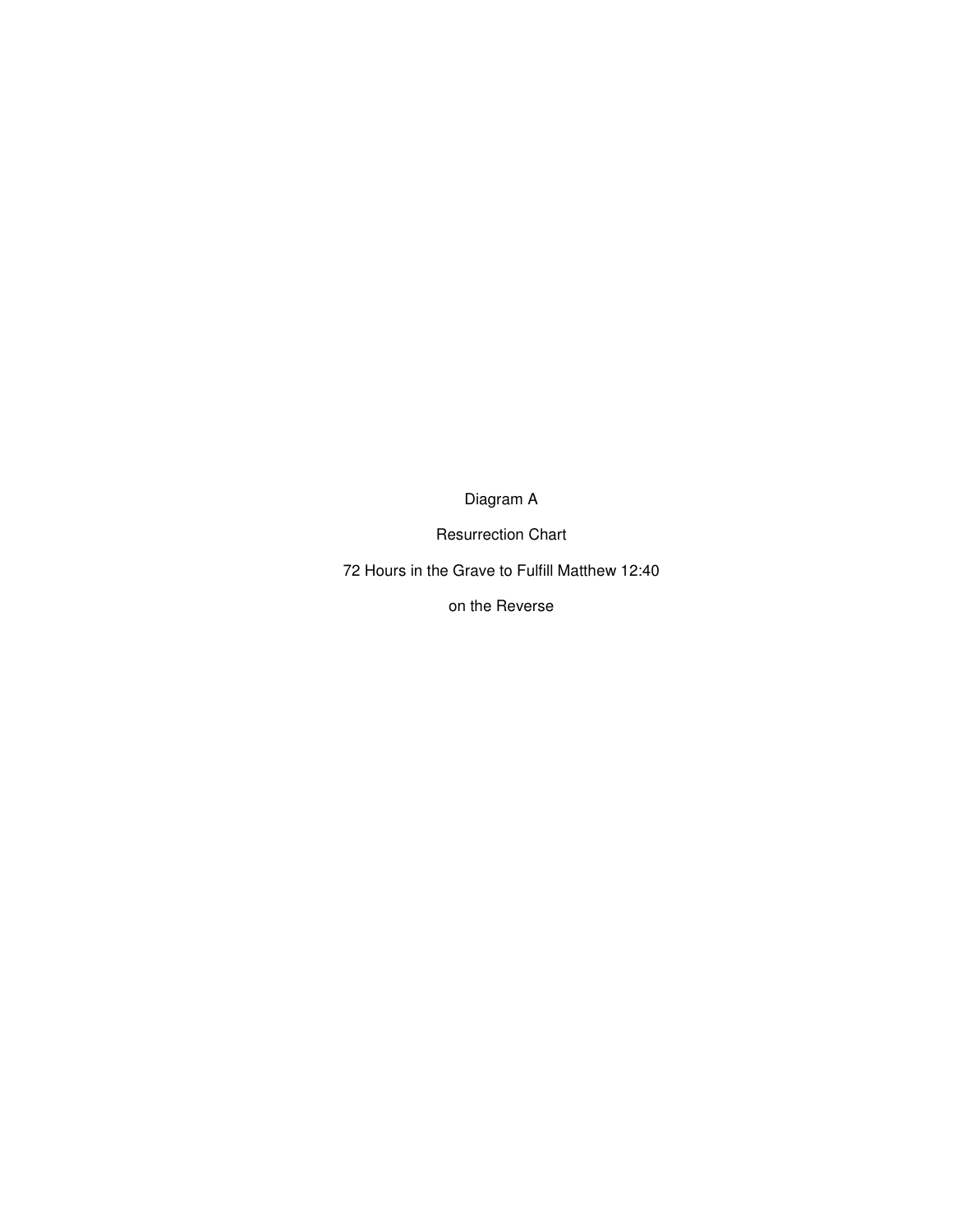Diagram A

Resurrection Chart

72 Hours in the Grave to Fulfill Matthew 12:40

on the Reverse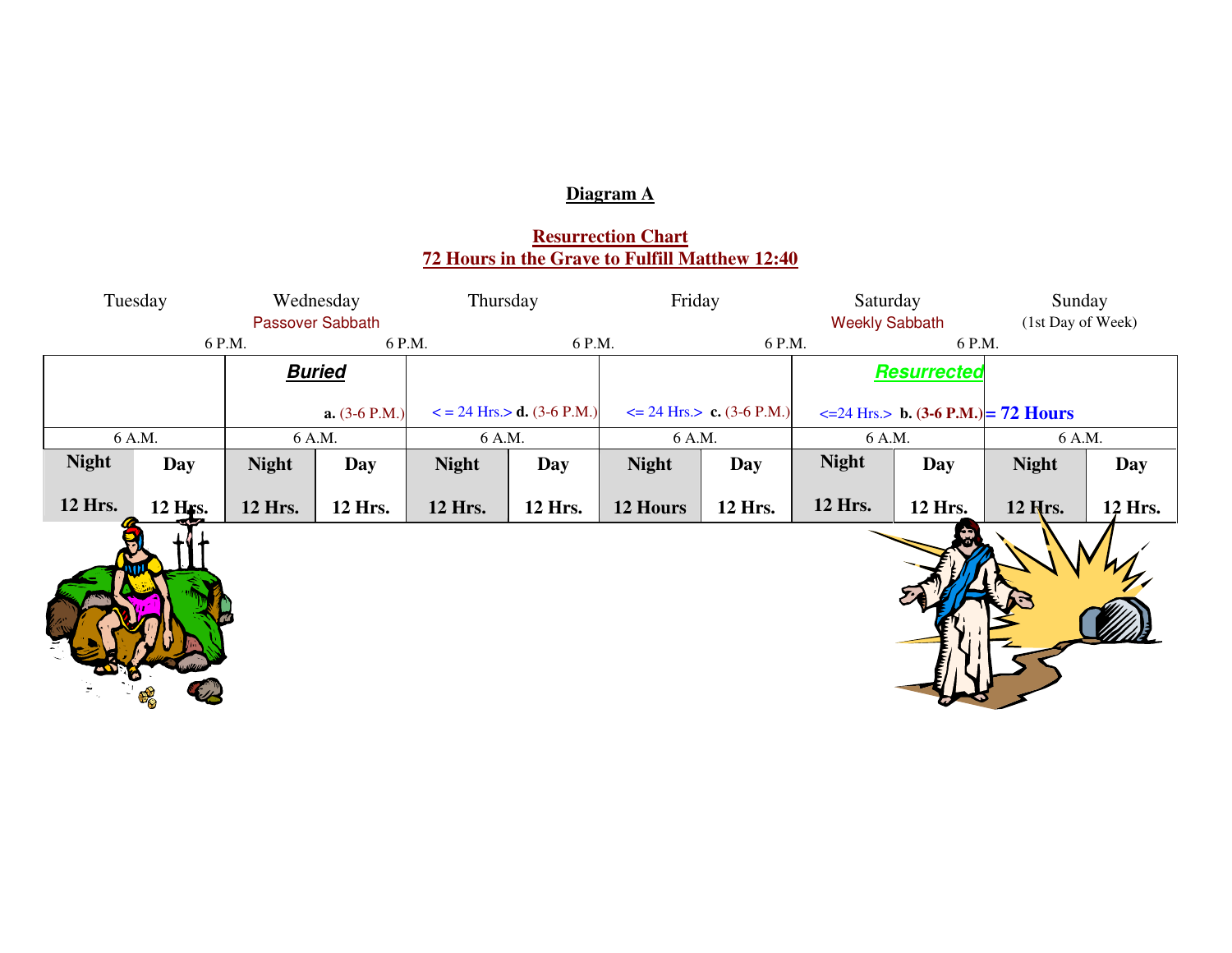# **Diagram A**

# **Resurrection Chart 72 Hours in the Grave to Fulfill Matthew 12:40**

| Tuesday<br>Wednesday<br>Passover Sabbath |                      |              | Thursday        |              | Friday                                 |              | Saturday<br><b>Weekly Sabbath</b> |                    | Sunday<br>(1st Day of Week)                          |              |         |
|------------------------------------------|----------------------|--------------|-----------------|--------------|----------------------------------------|--------------|-----------------------------------|--------------------|------------------------------------------------------|--------------|---------|
|                                          |                      | 6 P.M.       | 6 P.M.          |              | 6 P.M.                                 |              | 6 P.M.                            |                    | 6 P.M.                                               |              |         |
| <b>Buried</b>                            |                      |              |                 |              |                                        |              |                                   | <b>Resurrected</b> |                                                      |              |         |
|                                          |                      |              | $a. (3-6 P.M.)$ |              | $\epsilon$ = 24 Hrs. $>$ d. (3-6 P.M.) |              | $\leq$ 24 Hrs. $>$ c. (3-6 P.M.)  |                    | $\epsilon$ =24 Hrs.> <b>b.</b> (3-6 P.M.) = 72 Hours |              |         |
|                                          | 6 A.M.               |              | 6 A.M.          | 6 A.M.       |                                        | 6 A.M.       |                                   | 6 A.M.             |                                                      | 6 A.M.       |         |
| <b>Night</b>                             | <b>Day</b>           | <b>Night</b> | <b>Day</b>      | <b>Night</b> | <b>Day</b>                             | <b>Night</b> | Day                               | <b>Night</b>       | Day                                                  | <b>Night</b> | Day     |
| 12 Hrs.                                  | 12 H <sub>FS</sub> . | 12 Hrs.      | 12 Hrs.         | 12 Hrs.      | 12 Hrs.                                | 12 Hours     | 12 Hrs.                           | 12 Hrs.            | 12 Hrs.                                              | 12 Hrs.      | 12 Hrs. |
|                                          | $\mathbf{F}_{\odot}$ |              |                 |              |                                        |              |                                   |                    |                                                      |              |         |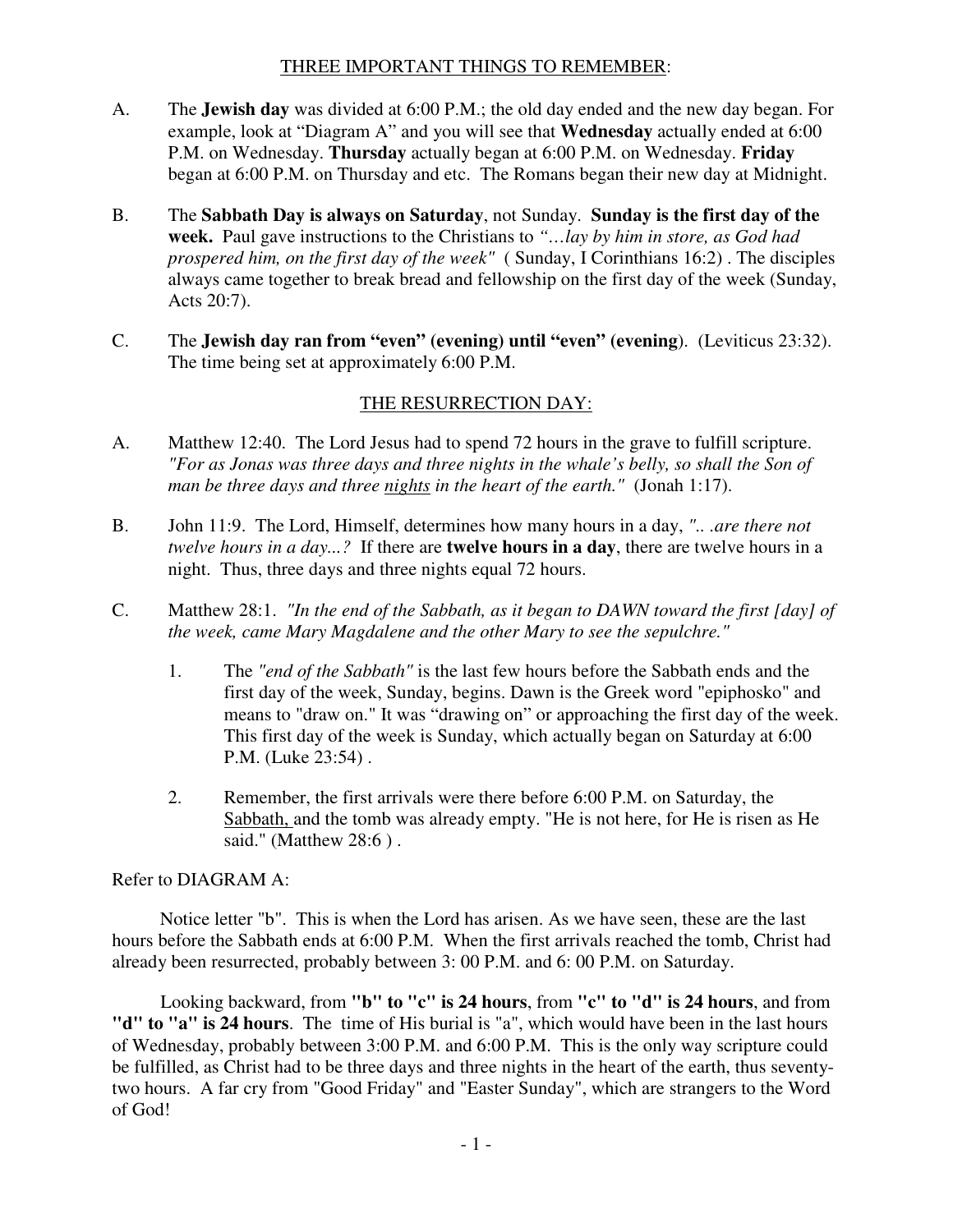### THREE IMPORTANT THINGS TO REMEMBER:

- A. The **Jewish day** was divided at 6:00 P.M.; the old day ended and the new day began. For example, look at "Diagram A" and you will see that **Wednesday** actually ended at 6:00 P.M. on Wednesday. **Thursday** actually began at 6:00 P.M. on Wednesday. **Friday** began at 6:00 P.M. on Thursday and etc. The Romans began their new day at Midnight.
- B. The **Sabbath Day is always on Saturday**, not Sunday. **Sunday is the first day of the week.** Paul gave instructions to the Christians to *"…lay by him in store, as God had prospered him, on the first day of the week"* ( Sunday, I Corinthians 16:2) . The disciples always came together to break bread and fellowship on the first day of the week (Sunday, Acts 20:7).
- C. The **Jewish day ran from "even" (evening) until "even" (evening**). (Leviticus 23:32). The time being set at approximately 6:00 P.M.

# THE RESURRECTION DAY:

- A. Matthew 12:40. The Lord Jesus had to spend 72 hours in the grave to fulfill scripture. *"For as Jonas was three days and three nights in the whale's belly, so shall the Son of man be three days and three nights in the heart of the earth."* (Jonah 1:17).
- B. John 11:9. The Lord, Himself, determines how many hours in a day, *".. .are there not twelve hours in a day...?* If there are **twelve hours in a day**, there are twelve hours in a night. Thus, three days and three nights equal 72 hours.
- C. Matthew 28:1. *"In the end of the Sabbath, as it began to DAWN toward the first [day] of the week, came Mary Magdalene and the other Mary to see the sepulchre."* 
	- 1. The *"end of the Sabbath"* is the last few hours before the Sabbath ends and the first day of the week, Sunday, begins. Dawn is the Greek word "epiphosko" and means to "draw on." It was "drawing on" or approaching the first day of the week. This first day of the week is Sunday, which actually began on Saturday at 6:00 P.M. (Luke 23:54) .
	- 2. Remember, the first arrivals were there before 6:00 P.M. on Saturday, the Sabbath, and the tomb was already empty. "He is not here, for He is risen as He said." (Matthew 28:6).

#### Refer to DIAGRAM A:

Notice letter "b". This is when the Lord has arisen. As we have seen, these are the last hours before the Sabbath ends at 6:00 P.M. When the first arrivals reached the tomb, Christ had already been resurrected, probably between 3: 00 P.M. and 6: 00 P.M. on Saturday.

Looking backward, from **"b" to "c" is 24 hours**, from **"c" to "d" is 24 hours**, and from **"d" to "a" is 24 hours**. The time of His burial is "a", which would have been in the last hours of Wednesday, probably between 3:00 P.M. and 6:00 P.M. This is the only way scripture could be fulfilled, as Christ had to be three days and three nights in the heart of the earth, thus seventytwo hours. A far cry from "Good Friday" and "Easter Sunday", which are strangers to the Word of God!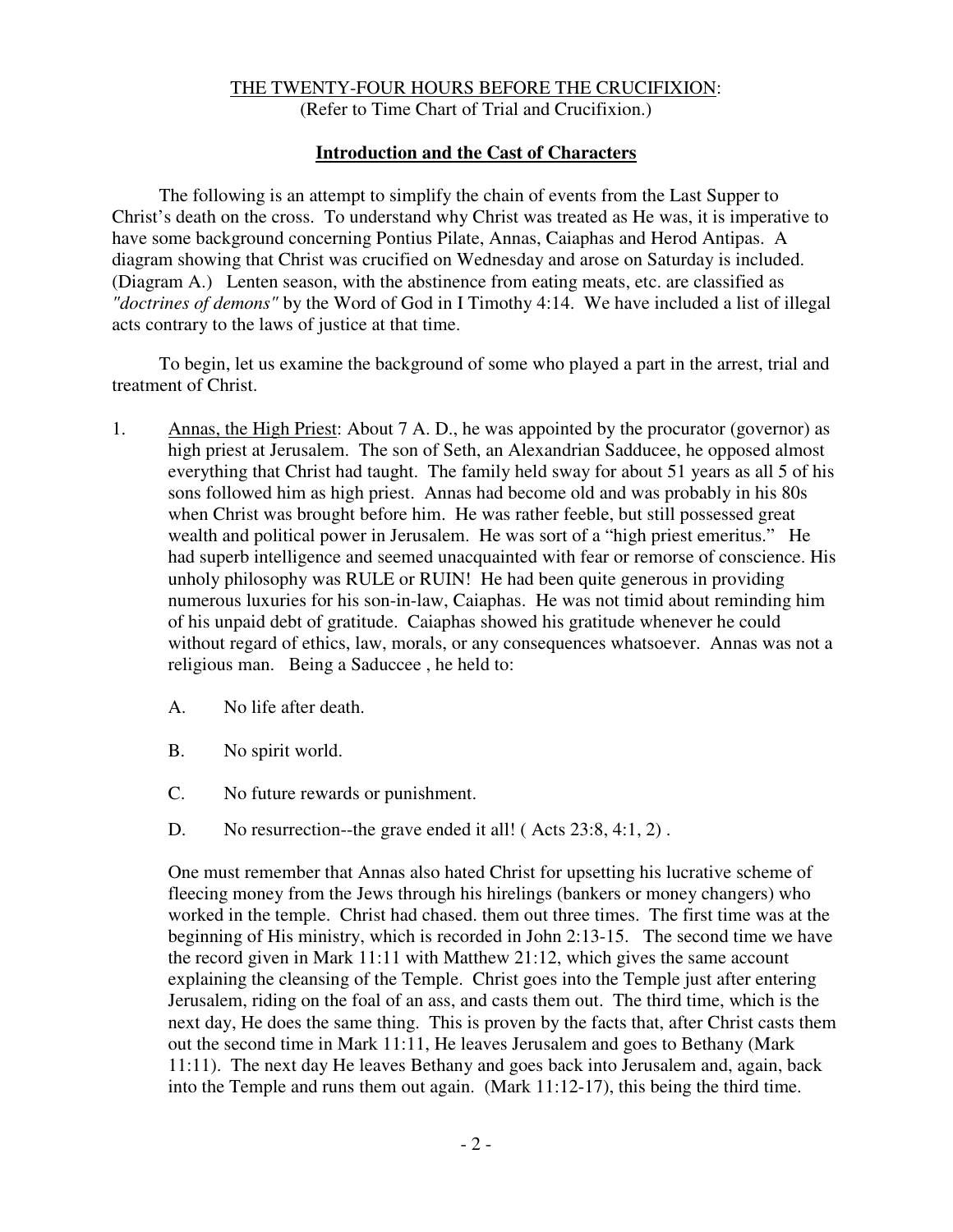### THE TWENTY-FOUR HOURS BEFORE THE CRUCIFIXION: (Refer to Time Chart of Trial and Crucifixion.)

#### **Introduction and the Cast of Characters**

The following is an attempt to simplify the chain of events from the Last Supper to Christ's death on the cross. To understand why Christ was treated as He was, it is imperative to have some background concerning Pontius Pilate, Annas, Caiaphas and Herod Antipas. A diagram showing that Christ was crucified on Wednesday and arose on Saturday is included. (Diagram A.) Lenten season, with the abstinence from eating meats, etc. are classified as *"doctrines of demons"* by the Word of God in I Timothy 4:14. We have included a list of illegal acts contrary to the laws of justice at that time.

To begin, let us examine the background of some who played a part in the arrest, trial and treatment of Christ.

- 1. Annas, the High Priest: About 7 A. D., he was appointed by the procurator (governor) as high priest at Jerusalem. The son of Seth, an Alexandrian Sadducee, he opposed almost everything that Christ had taught. The family held sway for about 51 years as all 5 of his sons followed him as high priest. Annas had become old and was probably in his 80s when Christ was brought before him. He was rather feeble, but still possessed great wealth and political power in Jerusalem. He was sort of a "high priest emeritus." He had superb intelligence and seemed unacquainted with fear or remorse of conscience. His unholy philosophy was RULE or RUIN! He had been quite generous in providing numerous luxuries for his son-in-law, Caiaphas. He was not timid about reminding him of his unpaid debt of gratitude. Caiaphas showed his gratitude whenever he could without regard of ethics, law, morals, or any consequences whatsoever. Annas was not a religious man. Being a Saduccee , he held to:
	- A. No life after death.
	- B. No spirit world.
	- C. No future rewards or punishment.
	- D. No resurrection--the grave ended it all! (Acts 23:8, 4:1, 2).

One must remember that Annas also hated Christ for upsetting his lucrative scheme of fleecing money from the Jews through his hirelings (bankers or money changers) who worked in the temple. Christ had chased. them out three times. The first time was at the beginning of His ministry, which is recorded in John 2:13-15. The second time we have the record given in Mark 11:11 with Matthew 21:12, which gives the same account explaining the cleansing of the Temple. Christ goes into the Temple just after entering Jerusalem, riding on the foal of an ass, and casts them out. The third time, which is the next day, He does the same thing. This is proven by the facts that, after Christ casts them out the second time in Mark 11:11, He leaves Jerusalem and goes to Bethany (Mark 11:11). The next day He leaves Bethany and goes back into Jerusalem and, again, back into the Temple and runs them out again. (Mark 11:12-17), this being the third time.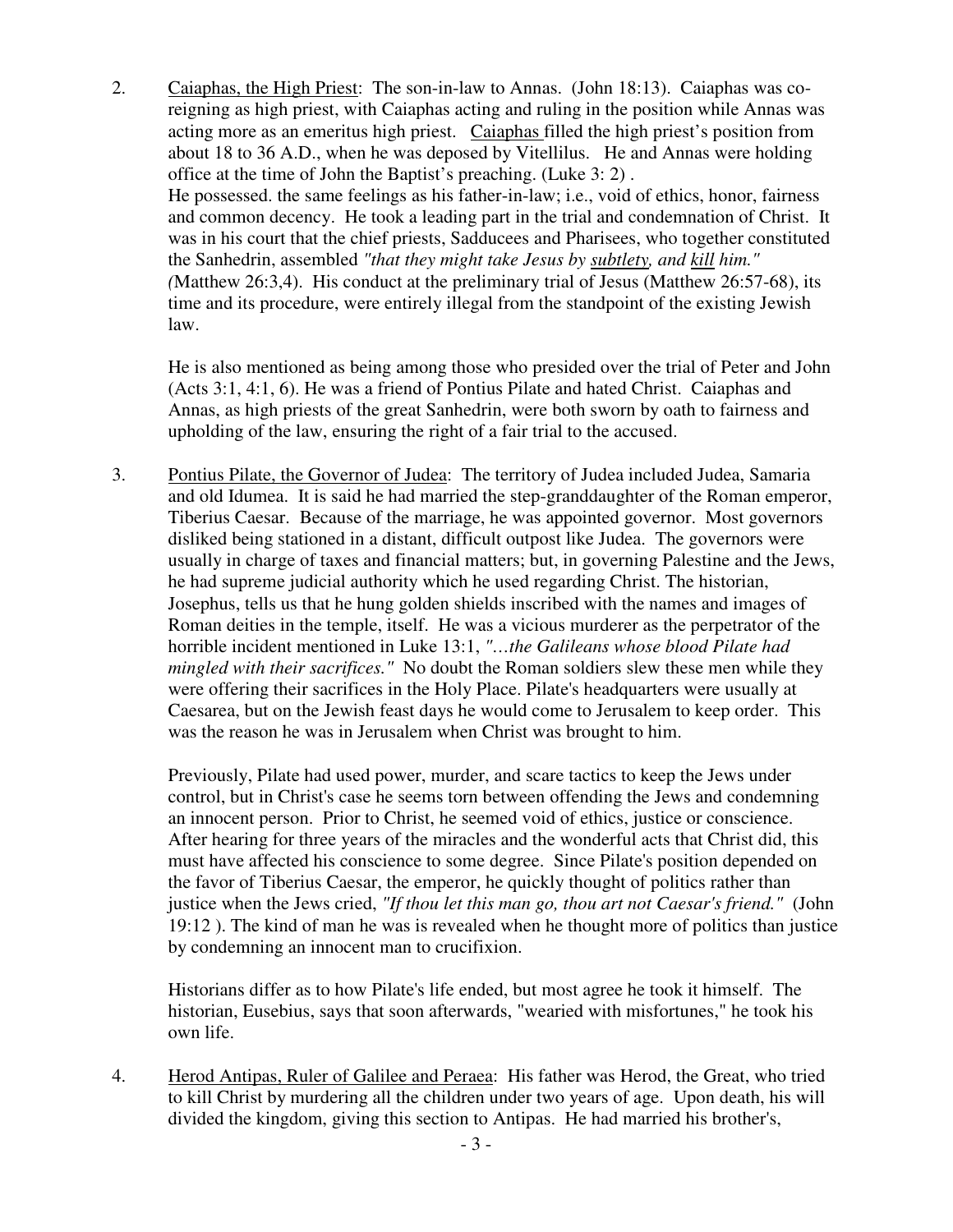2. Caiaphas, the High Priest: The son-in-law to Annas. (John 18:13). Caiaphas was coreigning as high priest, with Caiaphas acting and ruling in the position while Annas was acting more as an emeritus high priest. Caiaphas filled the high priest's position from about 18 to 36 A.D., when he was deposed by Vitellilus. He and Annas were holding office at the time of John the Baptist's preaching. (Luke 3: 2) . He possessed. the same feelings as his father-in-law; i.e., void of ethics, honor, fairness and common decency. He took a leading part in the trial and condemnation of Christ. It was in his court that the chief priests, Sadducees and Pharisees, who together constituted the Sanhedrin, assembled *"that they might take Jesus by subtlety, and kill him." (*Matthew 26:3,4). His conduct at the preliminary trial of Jesus (Matthew 26:57-68), its time and its procedure, were entirely illegal from the standpoint of the existing Jewish law.

 He is also mentioned as being among those who presided over the trial of Peter and John (Acts 3:1, 4:1, 6). He was a friend of Pontius Pilate and hated Christ. Caiaphas and Annas, as high priests of the great Sanhedrin, were both sworn by oath to fairness and upholding of the law, ensuring the right of a fair trial to the accused.

3. Pontius Pilate, the Governor of Judea: The territory of Judea included Judea, Samaria and old Idumea. It is said he had married the step-granddaughter of the Roman emperor, Tiberius Caesar. Because of the marriage, he was appointed governor. Most governors disliked being stationed in a distant, difficult outpost like Judea. The governors were usually in charge of taxes and financial matters; but, in governing Palestine and the Jews, he had supreme judicial authority which he used regarding Christ. The historian, Josephus, tells us that he hung golden shields inscribed with the names and images of Roman deities in the temple, itself. He was a vicious murderer as the perpetrator of the horrible incident mentioned in Luke 13:1, *"…the Galileans whose blood Pilate had mingled with their sacrifices."* No doubt the Roman soldiers slew these men while they were offering their sacrifices in the Holy Place. Pilate's headquarters were usually at Caesarea, but on the Jewish feast days he would come to Jerusalem to keep order. This was the reason he was in Jerusalem when Christ was brought to him.

 Previously, Pilate had used power, murder, and scare tactics to keep the Jews under control, but in Christ's case he seems torn between offending the Jews and condemning an innocent person. Prior to Christ, he seemed void of ethics, justice or conscience. After hearing for three years of the miracles and the wonderful acts that Christ did, this must have affected his conscience to some degree. Since Pilate's position depended on the favor of Tiberius Caesar, the emperor, he quickly thought of politics rather than justice when the Jews cried, *"If thou let this man go, thou art not Caesar's friend."* (John 19:12 ). The kind of man he was is revealed when he thought more of politics than justice by condemning an innocent man to crucifixion.

 Historians differ as to how Pilate's life ended, but most agree he took it himself. The historian, Eusebius, says that soon afterwards, "wearied with misfortunes," he took his own life.

4. Herod Antipas, Ruler of Galilee and Peraea: His father was Herod, the Great, who tried to kill Christ by murdering all the children under two years of age. Upon death, his will divided the kingdom, giving this section to Antipas. He had married his brother's,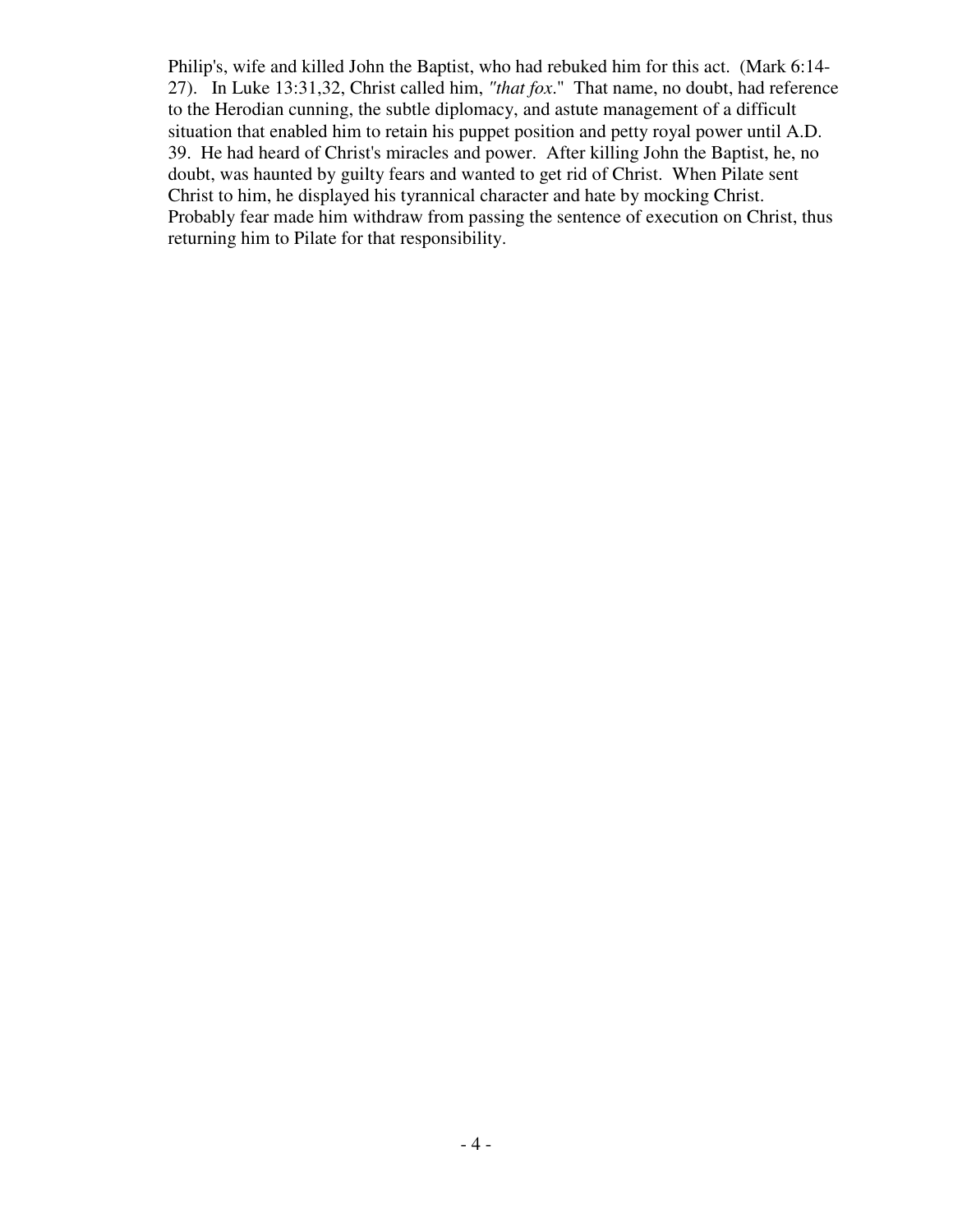Philip's, wife and killed John the Baptist, who had rebuked him for this act. (Mark 6:14- 27). In Luke 13:31,32, Christ called him, *"that fox*." That name, no doubt, had reference to the Herodian cunning, the subtle diplomacy, and astute management of a difficult situation that enabled him to retain his puppet position and petty royal power until A.D. 39. He had heard of Christ's miracles and power. After killing John the Baptist, he, no doubt, was haunted by guilty fears and wanted to get rid of Christ. When Pilate sent Christ to him, he displayed his tyrannical character and hate by mocking Christ. Probably fear made him withdraw from passing the sentence of execution on Christ, thus returning him to Pilate for that responsibility.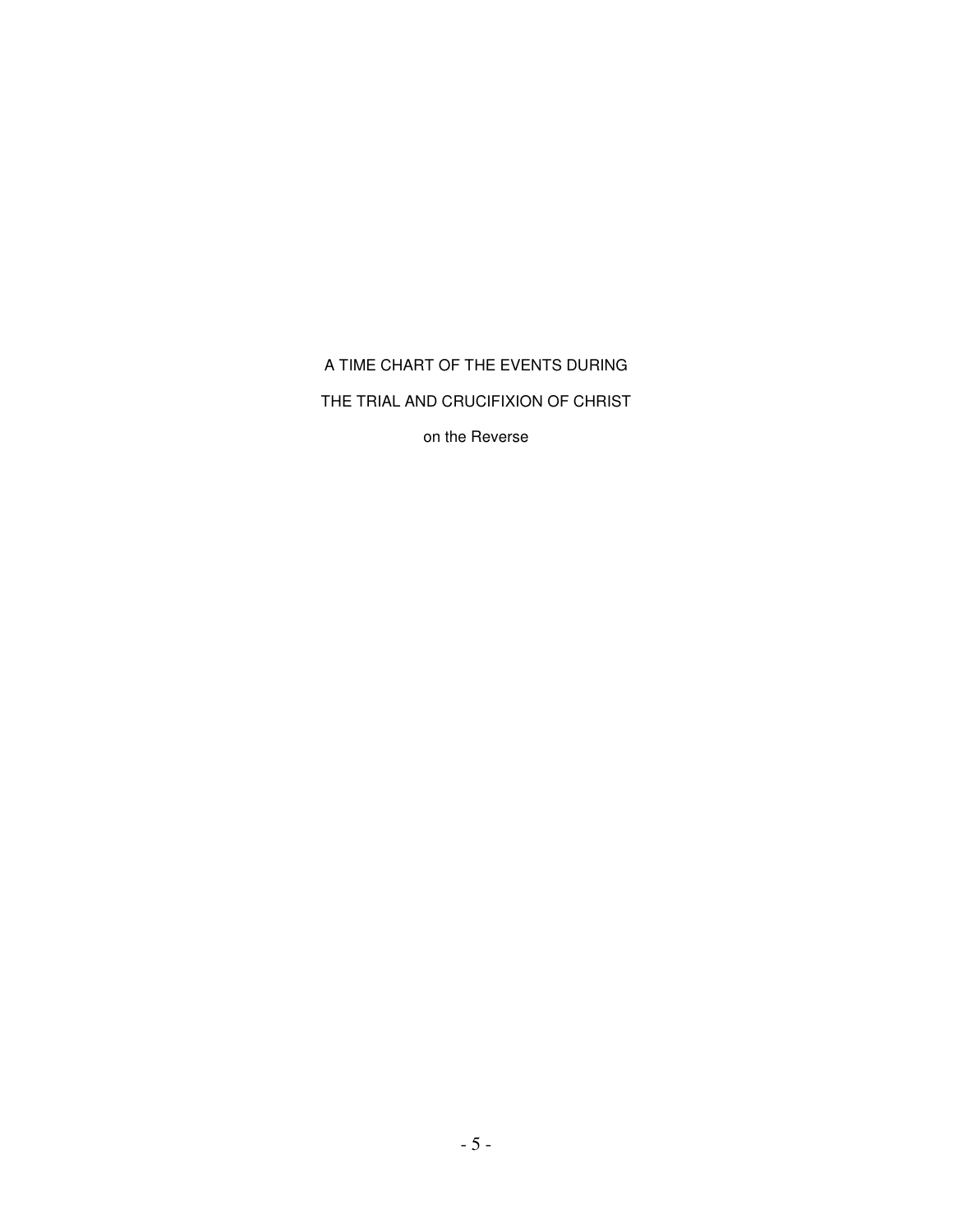A TIME CHART OF THE EVENTS DURING

THE TRIAL AND CRUCIFIXION OF CHRIST

on the Reverse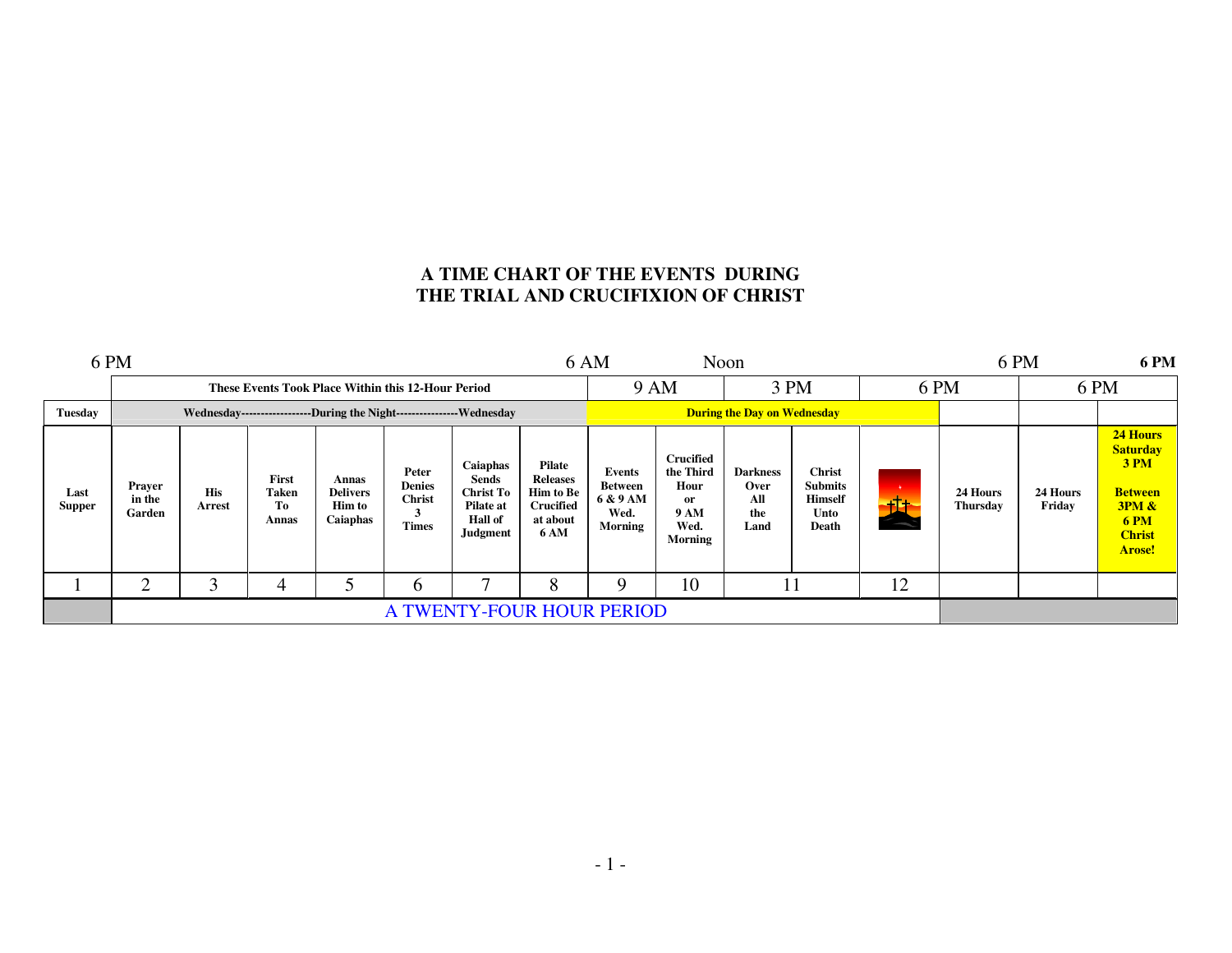# **A TIME CHART OF THE EVENTS DURING THE TRIAL AND CRUCIFIXION OF CHRIST**

|                       | 6 PM<br>6 AM<br>Noon                                                    |                      |                               |                                                       |                                                         |                                                                                         |                                                                                              |                                                                |                                                                                      | 6 PM<br><b>6 PM</b>                           |                                                                    |    |                             |                    |                                                                                                                 |  |
|-----------------------|-------------------------------------------------------------------------|----------------------|-------------------------------|-------------------------------------------------------|---------------------------------------------------------|-----------------------------------------------------------------------------------------|----------------------------------------------------------------------------------------------|----------------------------------------------------------------|--------------------------------------------------------------------------------------|-----------------------------------------------|--------------------------------------------------------------------|----|-----------------------------|--------------------|-----------------------------------------------------------------------------------------------------------------|--|
|                       |                                                                         |                      |                               | These Events Took Place Within this 12-Hour Period    |                                                         |                                                                                         |                                                                                              | 9 AM                                                           |                                                                                      | 3 PM                                          |                                                                    |    | 6 PM                        |                    | 6 PM                                                                                                            |  |
| Tuesday               | Wednesday-------------------During the Night------------------Wednesday |                      |                               |                                                       |                                                         |                                                                                         |                                                                                              | <b>During the Day on Wednesday</b>                             |                                                                                      |                                               |                                                                    |    |                             |                    |                                                                                                                 |  |
| Last<br><b>Supper</b> | Prayer<br>in the<br>Garden                                              | <b>His</b><br>Arrest | First<br>Taken<br>Тo<br>Annas | Annas<br><b>Delivers</b><br><b>Him to</b><br>Caiaphas | Peter<br><b>Denies</b><br><b>Christ</b><br><b>Times</b> | Caiaphas<br>Sends<br><b>Christ To</b><br>Pilate at<br><b>Hall of</b><br><b>Judgment</b> | <b>Pilate</b><br><b>Releases</b><br><b>Him to Be</b><br>Crucified<br>at about<br><b>6 AM</b> | <b>Events</b><br>Between<br>6 & 9 AM<br>Wed.<br><b>Morning</b> | <b>Crucified</b><br>the Third<br>Hour<br>or<br><b>9 AM</b><br>Wed.<br><b>Morning</b> | <b>Darkness</b><br>Over<br>All<br>the<br>Land | <b>Christ</b><br><b>Submits</b><br><b>Himself</b><br>Unto<br>Death | 也  | 24 Hours<br><b>Thursday</b> | 24 Hours<br>Friday | 24 Hours<br><b>Saturday</b><br>3 PM<br><b>Between</b><br>3PM &<br><b>6 PM</b><br><b>Christ</b><br><b>Arose!</b> |  |
|                       | ◠                                                                       | ◠                    |                               |                                                       | O                                                       | Ξ.                                                                                      | 8                                                                                            |                                                                | 10                                                                                   |                                               |                                                                    | 12 |                             |                    |                                                                                                                 |  |
|                       | A TWENTY-FOUR HOUR PERIOD                                               |                      |                               |                                                       |                                                         |                                                                                         |                                                                                              |                                                                |                                                                                      |                                               |                                                                    |    |                             |                    |                                                                                                                 |  |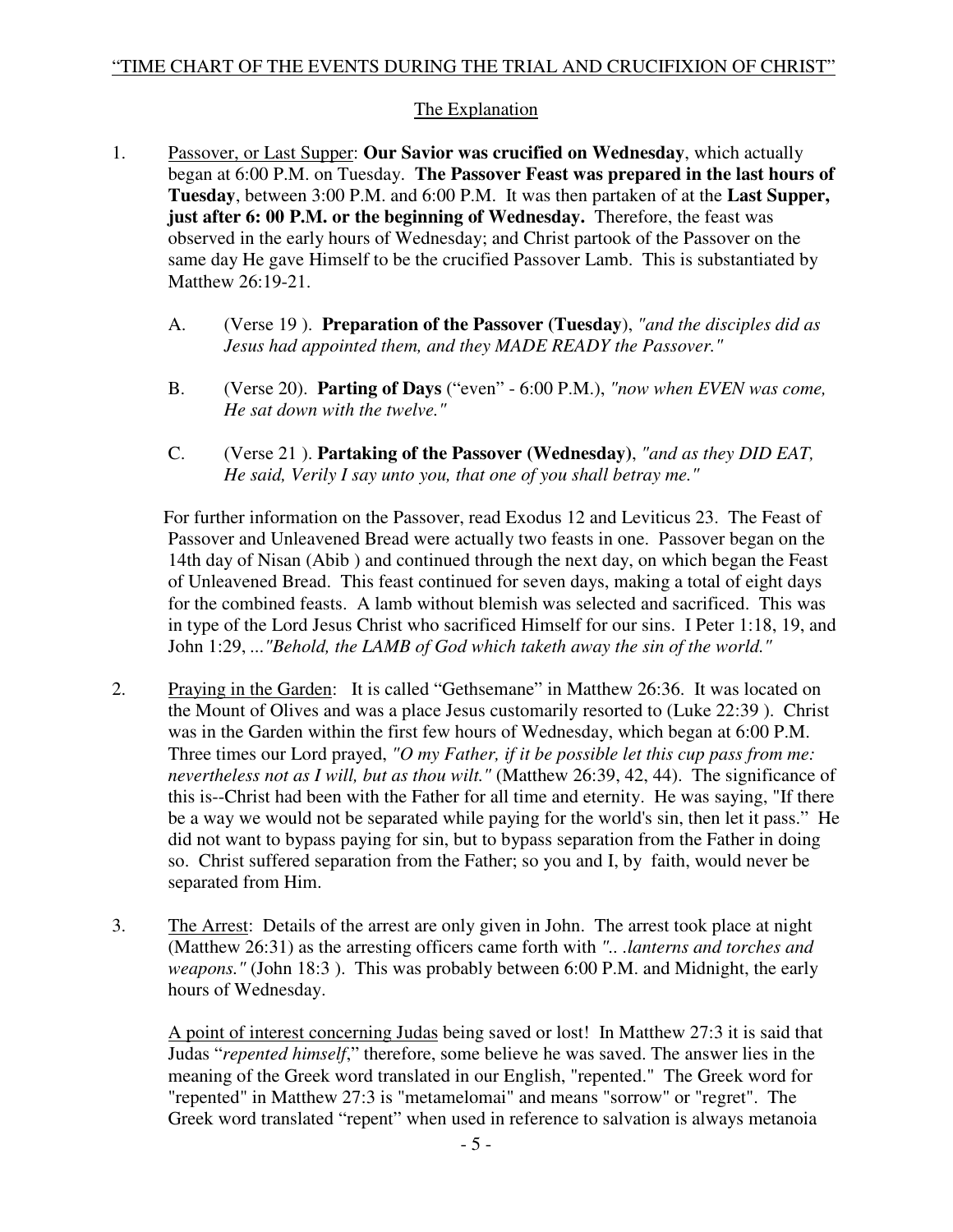# The Explanation

- 1. Passover, or Last Supper: **Our Savior was crucified on Wednesday**, which actually began at 6:00 P.M. on Tuesday. **The Passover Feast was prepared in the last hours of Tuesday**, between 3:00 P.M. and 6:00 P.M. It was then partaken of at the **Last Supper, just after 6: 00 P.M. or the beginning of Wednesday.** Therefore, the feast was observed in the early hours of Wednesday; and Christ partook of the Passover on the same day He gave Himself to be the crucified Passover Lamb. This is substantiated by Matthew 26:19-21.
	- A. (Verse 19 ). **Preparation of the Passover (Tuesday**), *"and the disciples did as Jesus had appointed them, and they MADE READY the Passover."*
	- B. (Verse 20). **Parting of Days** ("even" 6:00 P.M.), *"now when EVEN was come, He sat down with the twelve."*
	- C. (Verse 21 ). **Partaking of the Passover (Wednesday)**, *"and as they DID EAT, He said, Verily I say unto you, that one of you shall betray me."*

 For further information on the Passover, read Exodus 12 and Leviticus 23. The Feast of Passover and Unleavened Bread were actually two feasts in one. Passover began on the 14th day of Nisan (Abib ) and continued through the next day, on which began the Feast of Unleavened Bread. This feast continued for seven days, making a total of eight days for the combined feasts. A lamb without blemish was selected and sacrificed. This was in type of the Lord Jesus Christ who sacrificed Himself for our sins. I Peter 1:18, 19, and John 1:29, *..."Behold, the LAMB of God which taketh away the sin of the world."* 

- 2. Praying in the Garden: It is called "Gethsemane" in Matthew 26:36. It was located on the Mount of Olives and was a place Jesus customarily resorted to (Luke 22:39 ). Christ was in the Garden within the first few hours of Wednesday, which began at 6:00 P.M. Three times our Lord prayed, *"O my Father, if it be possible let this cup pass from me: nevertheless not as I will, but as thou wilt."* (Matthew 26:39, 42, 44). The significance of this is--Christ had been with the Father for all time and eternity. He was saying, "If there be a way we would not be separated while paying for the world's sin, then let it pass." He did not want to bypass paying for sin, but to bypass separation from the Father in doing so. Christ suffered separation from the Father; so you and I, by faith, would never be separated from Him.
- 3. The Arrest: Details of the arrest are only given in John. The arrest took place at night (Matthew 26:31) as the arresting officers came forth with *".. .lanterns and torches and weapons."* (John 18:3 ). This was probably between 6:00 P.M. and Midnight, the early hours of Wednesday.

 A point of interest concerning Judas being saved or lost! In Matthew 27:3 it is said that Judas "*repented himself*," therefore, some believe he was saved. The answer lies in the meaning of the Greek word translated in our English, "repented." The Greek word for "repented" in Matthew 27:3 is "metamelomai" and means "sorrow" or "regret". The Greek word translated "repent" when used in reference to salvation is always metanoia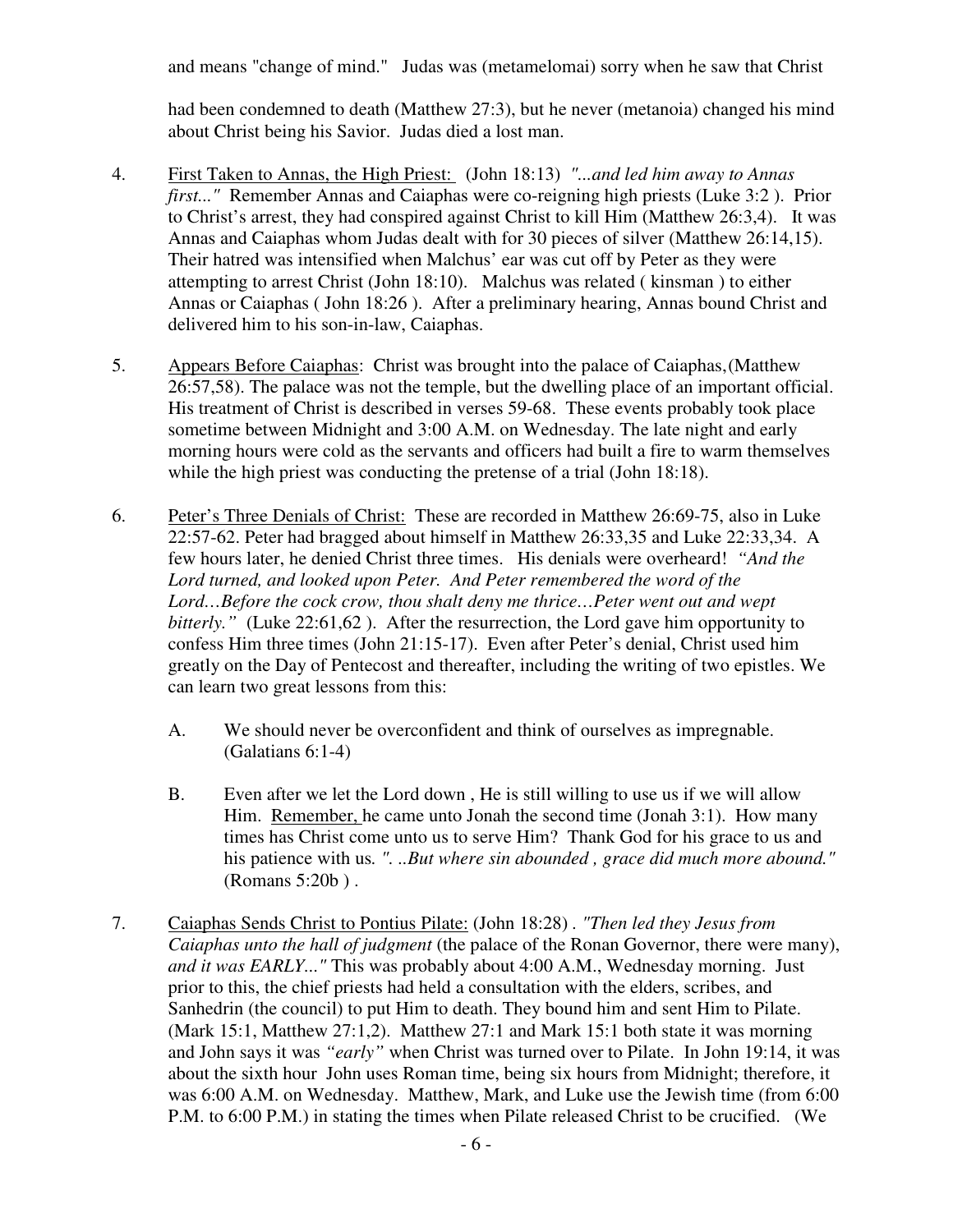and means "change of mind." Judas was (metamelomai) sorry when he saw that Christ

 had been condemned to death (Matthew 27:3), but he never (metanoia) changed his mind about Christ being his Savior. Judas died a lost man.

- 4. First Taken to Annas, the High Priest: (John 18:13) *"...and led him away to Annas first..."* Remember Annas and Caiaphas were co-reigning high priests (Luke 3:2 ). Prior to Christ's arrest, they had conspired against Christ to kill Him (Matthew 26:3,4). It was Annas and Caiaphas whom Judas dealt with for 30 pieces of silver (Matthew 26:14,15). Their hatred was intensified when Malchus' ear was cut off by Peter as they were attempting to arrest Christ (John 18:10). Malchus was related ( kinsman ) to either Annas or Caiaphas ( John 18:26 ). After a preliminary hearing, Annas bound Christ and delivered him to his son-in-law, Caiaphas.
- 5. Appears Before Caiaphas: Christ was brought into the palace of Caiaphas, (Matthew 26:57,58). The palace was not the temple, but the dwelling place of an important official. His treatment of Christ is described in verses 59-68. These events probably took place sometime between Midnight and 3:00 A.M. on Wednesday. The late night and early morning hours were cold as the servants and officers had built a fire to warm themselves while the high priest was conducting the pretense of a trial (John 18:18).
- 6. Peter's Three Denials of Christ: These are recorded in Matthew 26:69-75, also in Luke 22:57-62. Peter had bragged about himself in Matthew 26:33,35 and Luke 22:33,34. A few hours later, he denied Christ three times. His denials were overheard! *"And the Lord turned, and looked upon Peter. And Peter remembered the word of the*  Lord...Before the cock crow, thou shalt deny me thrice...Peter went out and wept *bitterly.*" (Luke 22:61,62). After the resurrection, the Lord gave him opportunity to confess Him three times (John 21:15-17). Even after Peter's denial, Christ used him greatly on the Day of Pentecost and thereafter, including the writing of two epistles. We can learn two great lessons from this:
	- A. We should never be overconfident and think of ourselves as impregnable. (Galatians 6:1-4)
	- B. Even after we let the Lord down , He is still willing to use us if we will allow Him. Remember, he came unto Jonah the second time (Jonah 3:1). How many times has Christ come unto us to serve Him? Thank God for his grace to us and his patience with us*. ". ..But where sin abounded , grace did much more abound."*  (Romans 5:20b ) .
- 7. Caiaphas Sends Christ to Pontius Pilate: (John 18:28) *. "Then led they Jesus from Caiaphas unto the hall of judgment* (the palace of the Ronan Governor, there were many), *and it was EARLY..."* This was probably about 4:00 A.M., Wednesday morning. Just prior to this, the chief priests had held a consultation with the elders, scribes, and Sanhedrin (the council) to put Him to death. They bound him and sent Him to Pilate. (Mark 15:1, Matthew 27:1,2). Matthew 27:1 and Mark 15:1 both state it was morning and John says it was *"early"* when Christ was turned over to Pilate. In John 19:14, it was about the sixth hour John uses Roman time, being six hours from Midnight; therefore, it was 6:00 A.M. on Wednesday. Matthew, Mark, and Luke use the Jewish time (from 6:00 P.M. to 6:00 P.M.) in stating the times when Pilate released Christ to be crucified. (We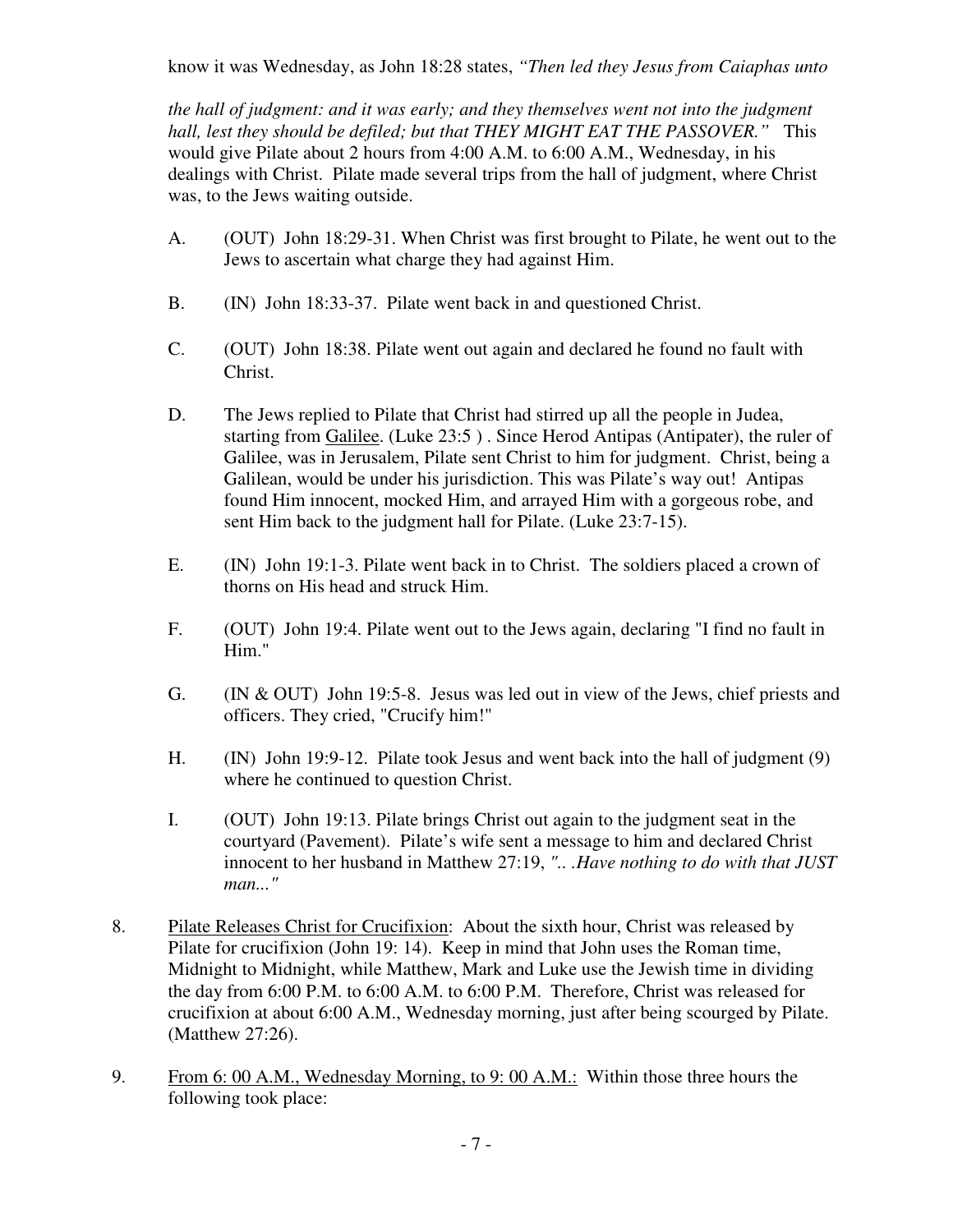know it was Wednesday, as John 18:28 states, *"Then led they Jesus from Caiaphas unto* 

 *the hall of judgment: and it was early; and they themselves went not into the judgment hall, lest they should be defiled; but that THEY MIGHT EAT THE PASSOVER."* This would give Pilate about 2 hours from 4:00 A.M. to 6:00 A.M., Wednesday, in his dealings with Christ. Pilate made several trips from the hall of judgment, where Christ was, to the Jews waiting outside.

- A. (OUT) John 18:29-31. When Christ was first brought to Pilate, he went out to the Jews to ascertain what charge they had against Him.
- B. (IN) John 18:33-37. Pilate went back in and questioned Christ.
- C. (OUT) John 18:38. Pilate went out again and declared he found no fault with Christ.
- D. The Jews replied to Pilate that Christ had stirred up all the people in Judea, starting from Galilee. (Luke 23:5 ) . Since Herod Antipas (Antipater), the ruler of Galilee, was in Jerusalem, Pilate sent Christ to him for judgment. Christ, being a Galilean, would be under his jurisdiction. This was Pilate's way out! Antipas found Him innocent, mocked Him, and arrayed Him with a gorgeous robe, and sent Him back to the judgment hall for Pilate. (Luke 23:7-15).
- E. (IN) John 19:1-3. Pilate went back in to Christ. The soldiers placed a crown of thorns on His head and struck Him.
- F. (OUT) John 19:4. Pilate went out to the Jews again, declaring "I find no fault in Him."
- G. (IN & OUT) John 19:5-8. Jesus was led out in view of the Jews, chief priests and officers. They cried, "Crucify him!"
- H. (IN) John 19:9-12. Pilate took Jesus and went back into the hall of judgment (9) where he continued to question Christ.
- I. (OUT) John 19:13. Pilate brings Christ out again to the judgment seat in the courtyard (Pavement). Pilate's wife sent a message to him and declared Christ innocent to her husband in Matthew 27:19, *".. .Have nothing to do with that JUST man..."*
- 8. Pilate Releases Christ for Crucifixion: About the sixth hour, Christ was released by Pilate for crucifixion (John 19: 14). Keep in mind that John uses the Roman time, Midnight to Midnight, while Matthew, Mark and Luke use the Jewish time in dividing the day from 6:00 P.M. to 6:00 A.M. to 6:00 P.M. Therefore, Christ was released for crucifixion at about 6:00 A.M., Wednesday morning, just after being scourged by Pilate. (Matthew 27:26).
- 9. From 6: 00 A.M., Wednesday Morning, to 9: 00 A.M.: Within those three hours the following took place: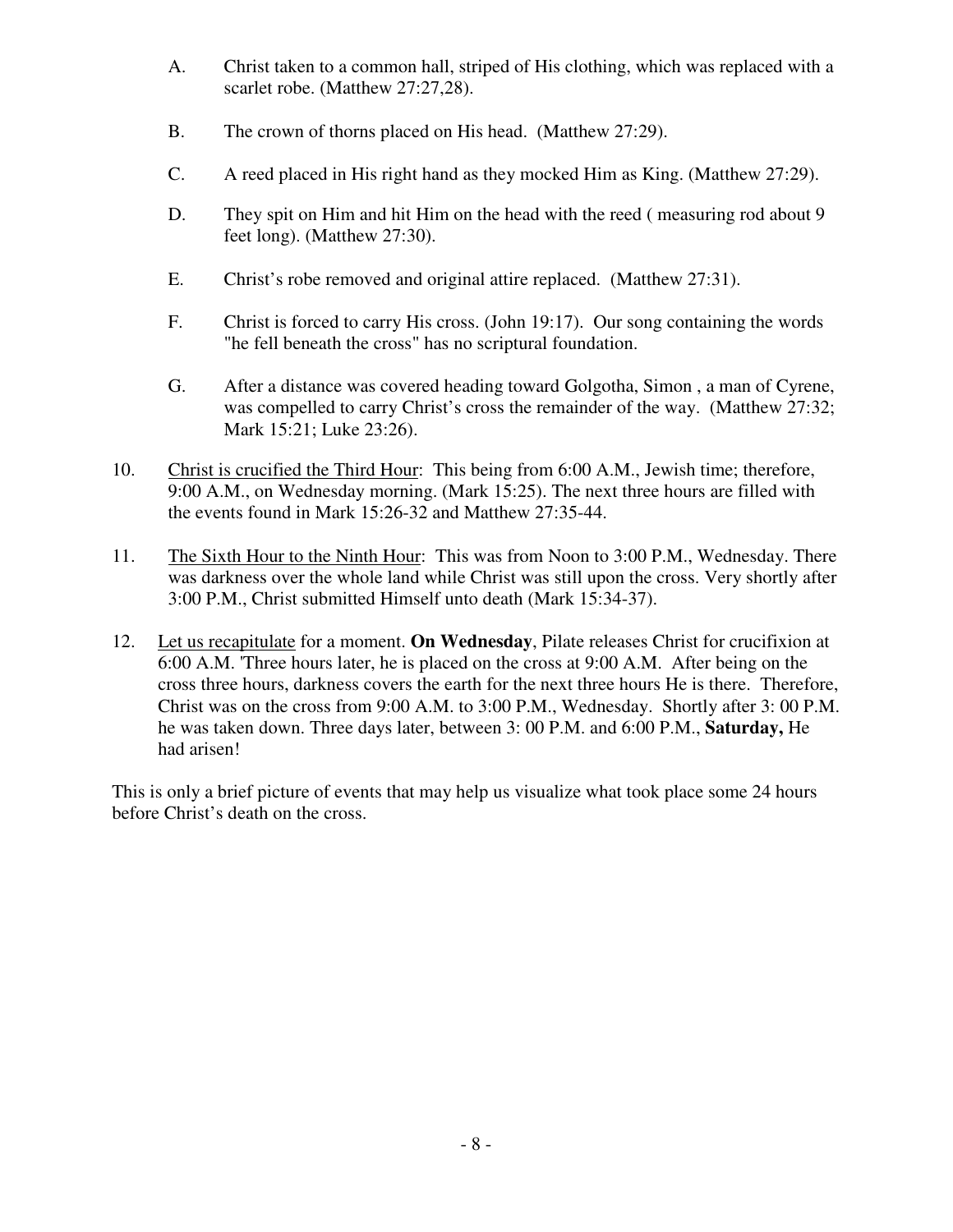- A. Christ taken to a common hall, striped of His clothing, which was replaced with a scarlet robe. (Matthew 27:27,28).
- B. The crown of thorns placed on His head. (Matthew 27:29).
- C. A reed placed in His right hand as they mocked Him as King. (Matthew 27:29).
- D. They spit on Him and hit Him on the head with the reed (measuring rod about 9 feet long). (Matthew 27:30).
- E. Christ's robe removed and original attire replaced. (Matthew 27:31).
- F. Christ is forced to carry His cross. (John 19:17). Our song containing the words "he fell beneath the cross" has no scriptural foundation.
- G. After a distance was covered heading toward Golgotha, Simon , a man of Cyrene, was compelled to carry Christ's cross the remainder of the way. (Matthew 27:32; Mark 15:21; Luke 23:26).
- 10. Christ is crucified the Third Hour: This being from 6:00 A.M., Jewish time; therefore, 9:00 A.M., on Wednesday morning. (Mark 15:25). The next three hours are filled with the events found in Mark 15:26-32 and Matthew 27:35-44.
- 11. The Sixth Hour to the Ninth Hour: This was from Noon to 3:00 P.M., Wednesday. There was darkness over the whole land while Christ was still upon the cross. Very shortly after 3:00 P.M., Christ submitted Himself unto death (Mark 15:34-37).
- 12. Let us recapitulate for a moment. **On Wednesday**, Pilate releases Christ for crucifixion at 6:00 A.M. 'Three hours later, he is placed on the cross at 9:00 A.M. After being on the cross three hours, darkness covers the earth for the next three hours He is there. Therefore, Christ was on the cross from 9:00 A.M. to 3:00 P.M., Wednesday. Shortly after 3: 00 P.M. he was taken down. Three days later, between 3: 00 P.M. and 6:00 P.M., **Saturday,** He had arisen!

This is only a brief picture of events that may help us visualize what took place some 24 hours before Christ's death on the cross.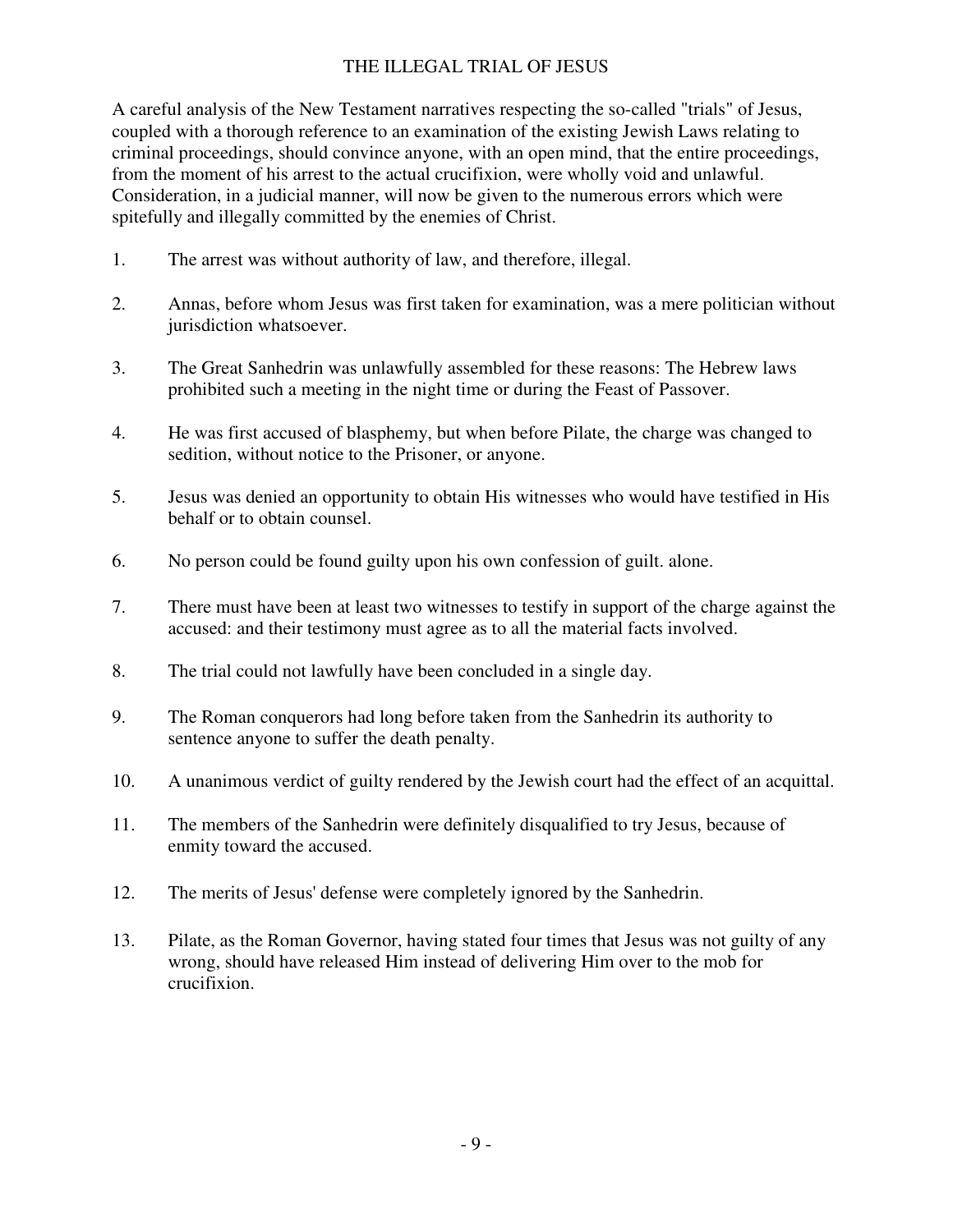# THE ILLEGAL TRIAL OF JESUS

A careful analysis of the New Testament narratives respecting the so-called "trials" of Jesus, coupled with a thorough reference to an examination of the existing Jewish Laws relating to criminal proceedings, should convince anyone, with an open mind, that the entire proceedings, from the moment of his arrest to the actual crucifixion, were wholly void and unlawful. Consideration, in a judicial manner, will now be given to the numerous errors which were spitefully and illegally committed by the enemies of Christ.

- 1. The arrest was without authority of law, and therefore, illegal.
- 2. Annas, before whom Jesus was first taken for examination, was a mere politician without jurisdiction whatsoever.
- 3. The Great Sanhedrin was unlawfully assembled for these reasons: The Hebrew laws prohibited such a meeting in the night time or during the Feast of Passover.
- 4. He was first accused of blasphemy, but when before Pilate, the charge was changed to sedition, without notice to the Prisoner, or anyone.
- 5. Jesus was denied an opportunity to obtain His witnesses who would have testified in His behalf or to obtain counsel.
- 6. No person could be found guilty upon his own confession of guilt. alone.
- 7. There must have been at least two witnesses to testify in support of the charge against the accused: and their testimony must agree as to all the material facts involved.
- 8. The trial could not lawfully have been concluded in a single day.
- 9. The Roman conquerors had long before taken from the Sanhedrin its authority to sentence anyone to suffer the death penalty.
- 10. A unanimous verdict of guilty rendered by the Jewish court had the effect of an acquittal.
- 11. The members of the Sanhedrin were definitely disqualified to try Jesus, because of enmity toward the accused.
- 12. The merits of Jesus' defense were completely ignored by the Sanhedrin.
- 13. Pilate, as the Roman Governor, having stated four times that Jesus was not guilty of any wrong, should have released Him instead of delivering Him over to the mob for crucifixion.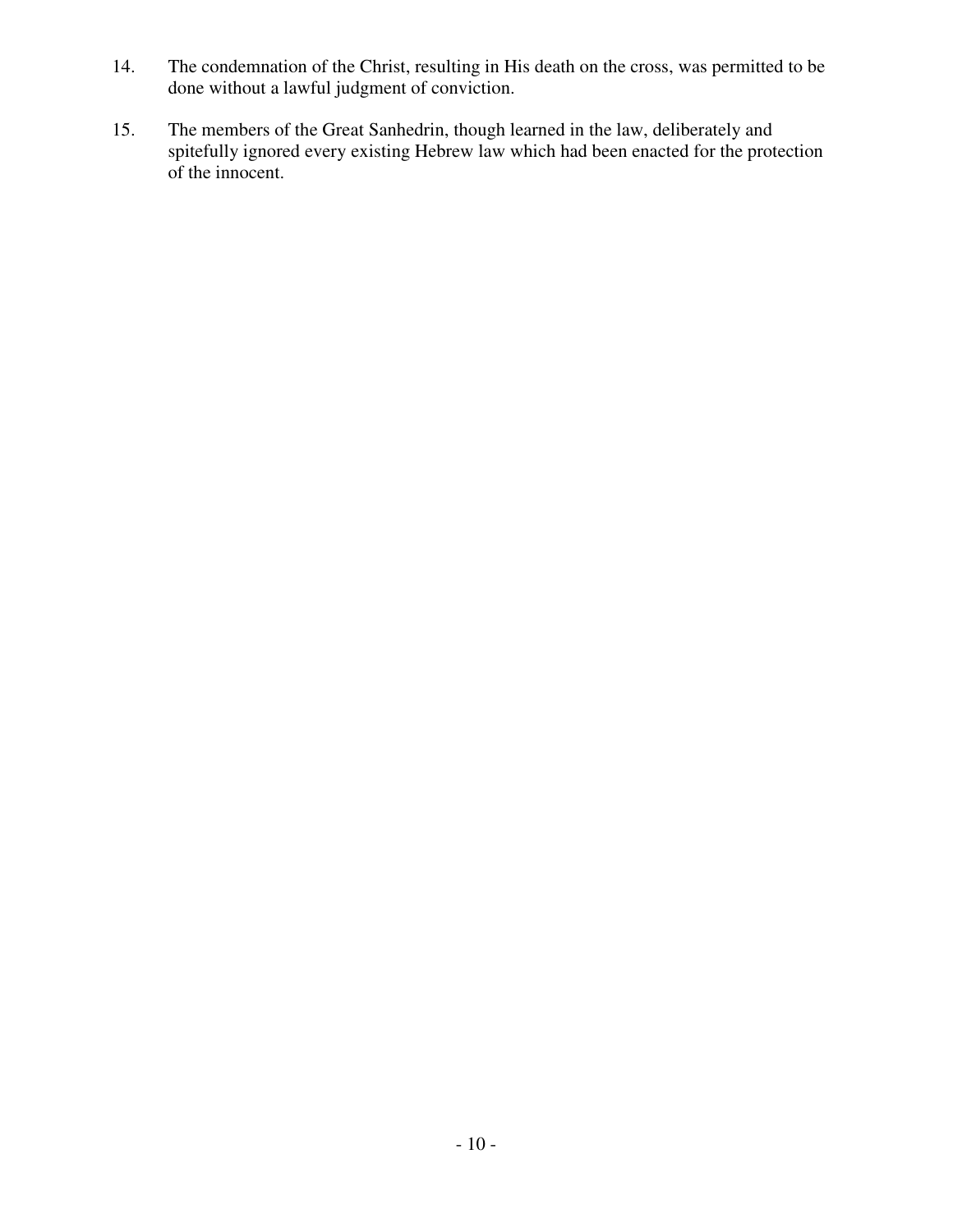- 14. The condemnation of the Christ, resulting in His death on the cross, was permitted to be done without a lawful judgment of conviction.
- 15. The members of the Great Sanhedrin, though learned in the law, deliberately and spitefully ignored every existing Hebrew law which had been enacted for the protection of the innocent.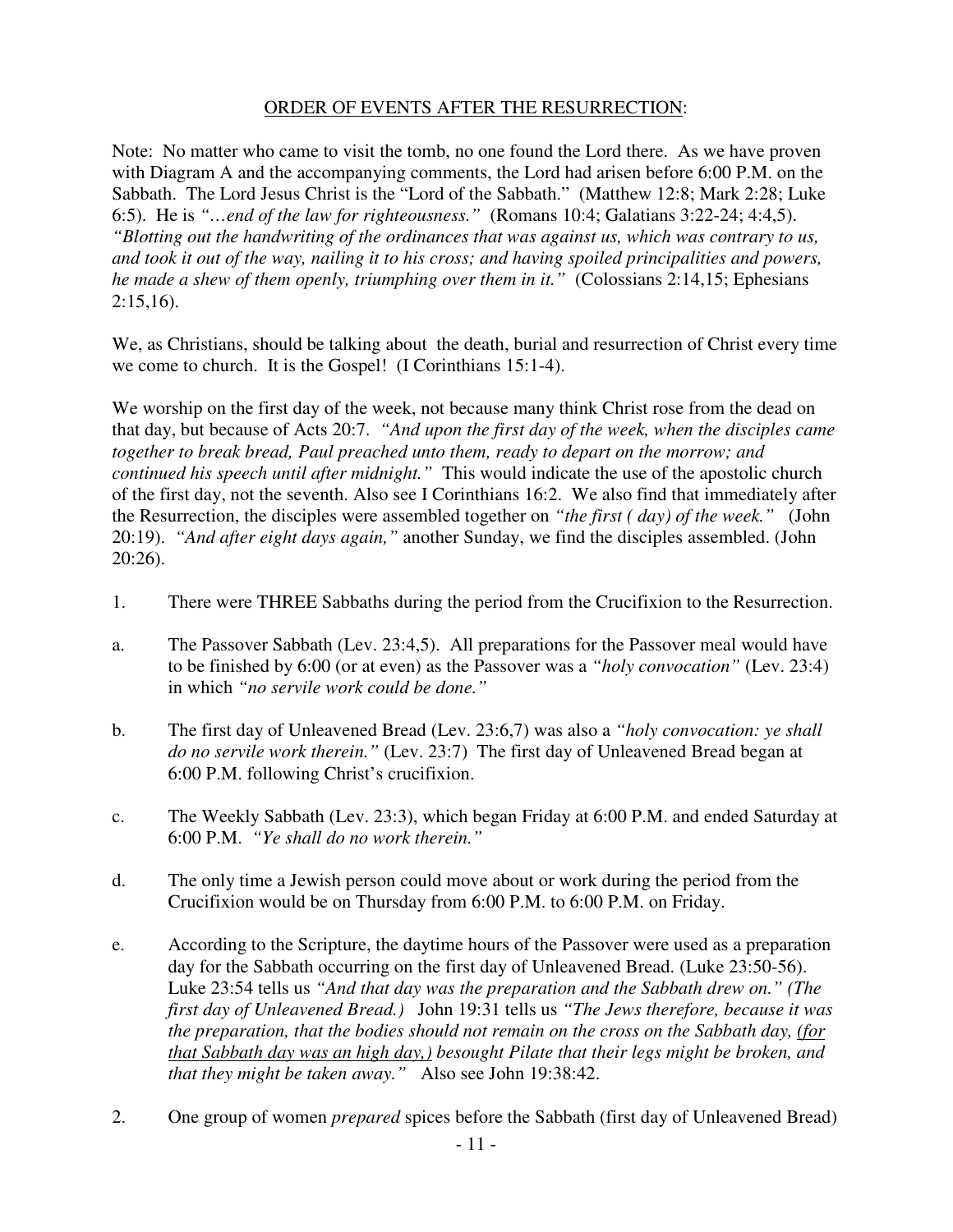# ORDER OF EVENTS AFTER THE RESURRECTION:

Note: No matter who came to visit the tomb, no one found the Lord there. As we have proven with Diagram A and the accompanying comments, the Lord had arisen before 6:00 P.M. on the Sabbath. The Lord Jesus Christ is the "Lord of the Sabbath." (Matthew 12:8; Mark 2:28; Luke 6:5). He is *"…end of the law for righteousness."* (Romans 10:4; Galatians 3:22-24; 4:4,5). *"Blotting out the handwriting of the ordinances that was against us, which was contrary to us, and took it out of the way, nailing it to his cross; and having spoiled principalities and powers, he made a shew of them openly, triumphing over them in it."* (Colossians 2:14,15; Ephesians  $2:15,16$ ).

We, as Christians, should be talking about the death, burial and resurrection of Christ every time we come to church. It is the Gospel! (I Corinthians 15:1-4).

We worship on the first day of the week, not because many think Christ rose from the dead on that day, but because of Acts 20:7. *"And upon the first day of the week, when the disciples came together to break bread, Paul preached unto them, ready to depart on the morrow; and continued his speech until after midnight."* This would indicate the use of the apostolic church of the first day, not the seventh. Also see I Corinthians 16:2. We also find that immediately after the Resurrection, the disciples were assembled together on *"the first ( day) of the week."* (John 20:19). *"And after eight days again,"* another Sunday, we find the disciples assembled. (John 20:26).

- 1. There were THREE Sabbaths during the period from the Crucifixion to the Resurrection.
- a. The Passover Sabbath (Lev. 23:4,5). All preparations for the Passover meal would have to be finished by 6:00 (or at even) as the Passover was a *"holy convocation"* (Lev. 23:4) in which *"no servile work could be done."*
- b. The first day of Unleavened Bread (Lev. 23:6,7) was also a *"holy convocation: ye shall do no servile work therein."* (Lev. 23:7) The first day of Unleavened Bread began at 6:00 P.M. following Christ's crucifixion.
- c. The Weekly Sabbath (Lev. 23:3), which began Friday at 6:00 P.M. and ended Saturday at 6:00 P.M. *"Ye shall do no work therein."*
- d. The only time a Jewish person could move about or work during the period from the Crucifixion would be on Thursday from 6:00 P.M. to 6:00 P.M. on Friday.
- e. According to the Scripture, the daytime hours of the Passover were used as a preparation day for the Sabbath occurring on the first day of Unleavened Bread. (Luke 23:50-56). Luke 23:54 tells us *"And that day was the preparation and the Sabbath drew on." (The first day of Unleavened Bread.)* John 19:31 tells us *"The Jews therefore, because it was the preparation, that the bodies should not remain on the cross on the Sabbath day, (for that Sabbath day was an high day,) besought Pilate that their legs might be broken, and that they might be taken away."* Also see John 19:38:42.
- 2. One group of women *prepared* spices before the Sabbath (first day of Unleavened Bread)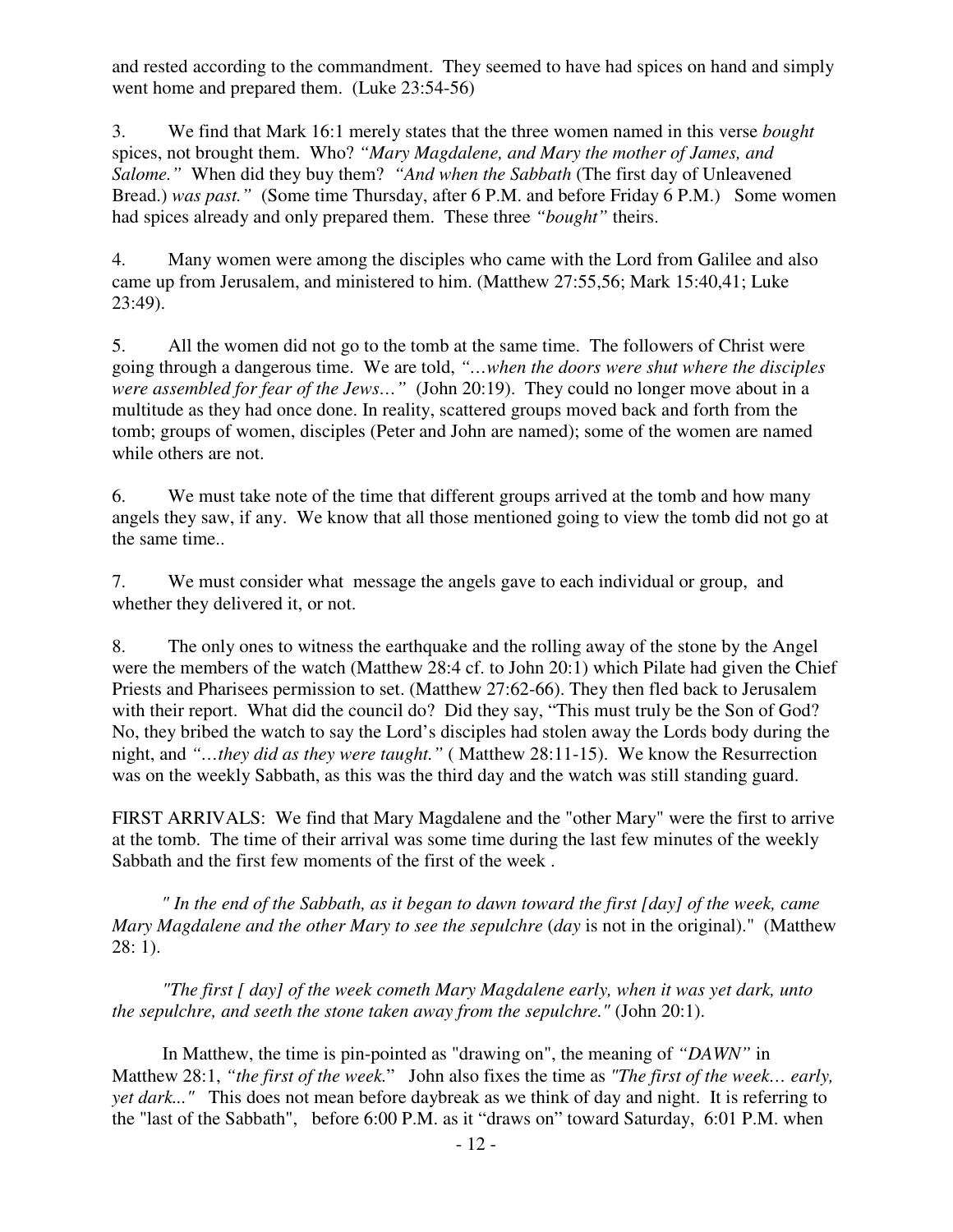and rested according to the commandment. They seemed to have had spices on hand and simply went home and prepared them. (Luke 23:54-56)

3. We find that Mark 16:1 merely states that the three women named in this verse *bought* spices, not brought them. Who? *"Mary Magdalene, and Mary the mother of James, and Salome."* When did they buy them? *"And when the Sabbath* (The first day of Unleavened Bread.) *was past."* (Some time Thursday, after 6 P.M. and before Friday 6 P.M.) Some women had spices already and only prepared them. These three *"bought"* theirs.

4. Many women were among the disciples who came with the Lord from Galilee and also came up from Jerusalem, and ministered to him. (Matthew 27:55,56; Mark 15:40,41; Luke 23:49).

5. All the women did not go to the tomb at the same time. The followers of Christ were going through a dangerous time. We are told, *"…when the doors were shut where the disciples were assembled for fear of the Jews...*" (John 20:19). They could no longer move about in a multitude as they had once done. In reality, scattered groups moved back and forth from the tomb; groups of women, disciples (Peter and John are named); some of the women are named while others are not.

6. We must take note of the time that different groups arrived at the tomb and how many angels they saw, if any. We know that all those mentioned going to view the tomb did not go at the same time..

7. We must consider what message the angels gave to each individual or group, and whether they delivered it, or not.

8. The only ones to witness the earthquake and the rolling away of the stone by the Angel were the members of the watch (Matthew 28:4 cf. to John 20:1) which Pilate had given the Chief Priests and Pharisees permission to set. (Matthew 27:62-66). They then fled back to Jerusalem with their report. What did the council do? Did they say, "This must truly be the Son of God? No, they bribed the watch to say the Lord's disciples had stolen away the Lords body during the night, and *"…they did as they were taught."* ( Matthew 28:11-15). We know the Resurrection was on the weekly Sabbath, as this was the third day and the watch was still standing guard.

FIRST ARRIVALS: We find that Mary Magdalene and the "other Mary" were the first to arrive at the tomb. The time of their arrival was some time during the last few minutes of the weekly Sabbath and the first few moments of the first of the week .

*" In the end of the Sabbath, as it began to dawn toward the first [day] of the week, came Mary Magdalene and the other Mary to see the sepulchre* (*day* is not in the original)." (Matthew 28: 1).

*"The first [ day] of the week cometh Mary Magdalene early, when it was yet dark, unto the sepulchre, and seeth the stone taken away from the sepulchre."* (John 20:1).

In Matthew, the time is pin-pointed as "drawing on", the meaning of *"DAWN"* in Matthew 28:1, *"the first of the week.*" John also fixes the time as *"The first of the week… early, yet dark..."* This does not mean before daybreak as we think of day and night. It is referring to the "last of the Sabbath", before 6:00 P.M. as it "draws on" toward Saturday, 6:01 P.M. when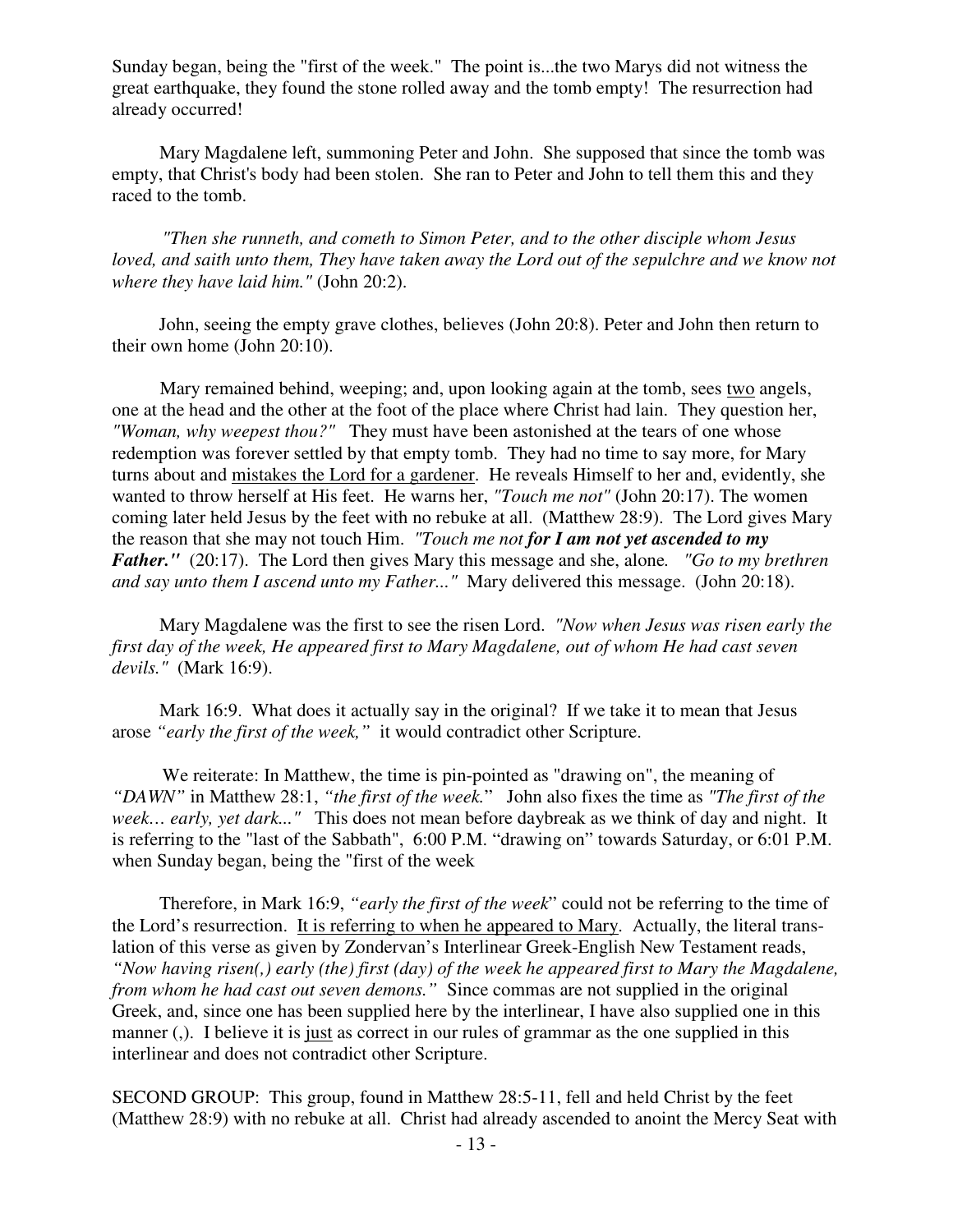Sunday began, being the "first of the week." The point is...the two Marys did not witness the great earthquake, they found the stone rolled away and the tomb empty! The resurrection had already occurred!

Mary Magdalene left, summoning Peter and John. She supposed that since the tomb was empty, that Christ's body had been stolen. She ran to Peter and John to tell them this and they raced to the tomb.

*"Then she runneth, and cometh to Simon Peter, and to the other disciple whom Jesus loved, and saith unto them, They have taken away the Lord out of the sepulchre and we know not where they have laid him."* (John 20:2).

John, seeing the empty grave clothes, believes (John 20:8). Peter and John then return to their own home (John 20:10).

Mary remained behind, weeping; and, upon looking again at the tomb, sees two angels, one at the head and the other at the foot of the place where Christ had lain. They question her, *"Woman, why weepest thou?"* They must have been astonished at the tears of one whose redemption was forever settled by that empty tomb. They had no time to say more, for Mary turns about and mistakes the Lord for a gardener. He reveals Himself to her and, evidently, she wanted to throw herself at His feet. He warns her, *"Touch me not"* (John 20:17). The women coming later held Jesus by the feet with no rebuke at all. (Matthew 28:9). The Lord gives Mary the reason that she may not touch Him. *"Touch me not for I am not yet ascended to my Father."* (20:17). The Lord then gives Mary this message and she, alone*. "Go to my brethren and say unto them I ascend unto my Father..."* Mary delivered this message. (John 20:18).

Mary Magdalene was the first to see the risen Lord. *"Now when Jesus was risen early the first day of the week, He appeared first to Mary Magdalene, out of whom He had cast seven devils."* (Mark 16:9).

 Mark 16:9. What does it actually say in the original? If we take it to mean that Jesus arose *"early the first of the week,"* it would contradict other Scripture.

We reiterate: In Matthew, the time is pin-pointed as "drawing on", the meaning of *"DAWN"* in Matthew 28:1, *"the first of the week.*" John also fixes the time as *"The first of the week… early, yet dark..."* This does not mean before daybreak as we think of day and night. It is referring to the "last of the Sabbath", 6:00 P.M. "drawing on" towards Saturday, or 6:01 P.M. when Sunday began, being the "first of the week

Therefore, in Mark 16:9, *"early the first of the week*" could not be referring to the time of the Lord's resurrection. It is referring to when he appeared to Mary. Actually, the literal translation of this verse as given by Zondervan's Interlinear Greek-English New Testament reads, *"Now having risen(,) early (the) first (day) of the week he appeared first to Mary the Magdalene, from whom he had cast out seven demons."* Since commas are not supplied in the original Greek, and, since one has been supplied here by the interlinear, I have also supplied one in this manner (,). I believe it is just as correct in our rules of grammar as the one supplied in this interlinear and does not contradict other Scripture.

SECOND GROUP: This group, found in Matthew 28:5-11, fell and held Christ by the feet (Matthew 28:9) with no rebuke at all. Christ had already ascended to anoint the Mercy Seat with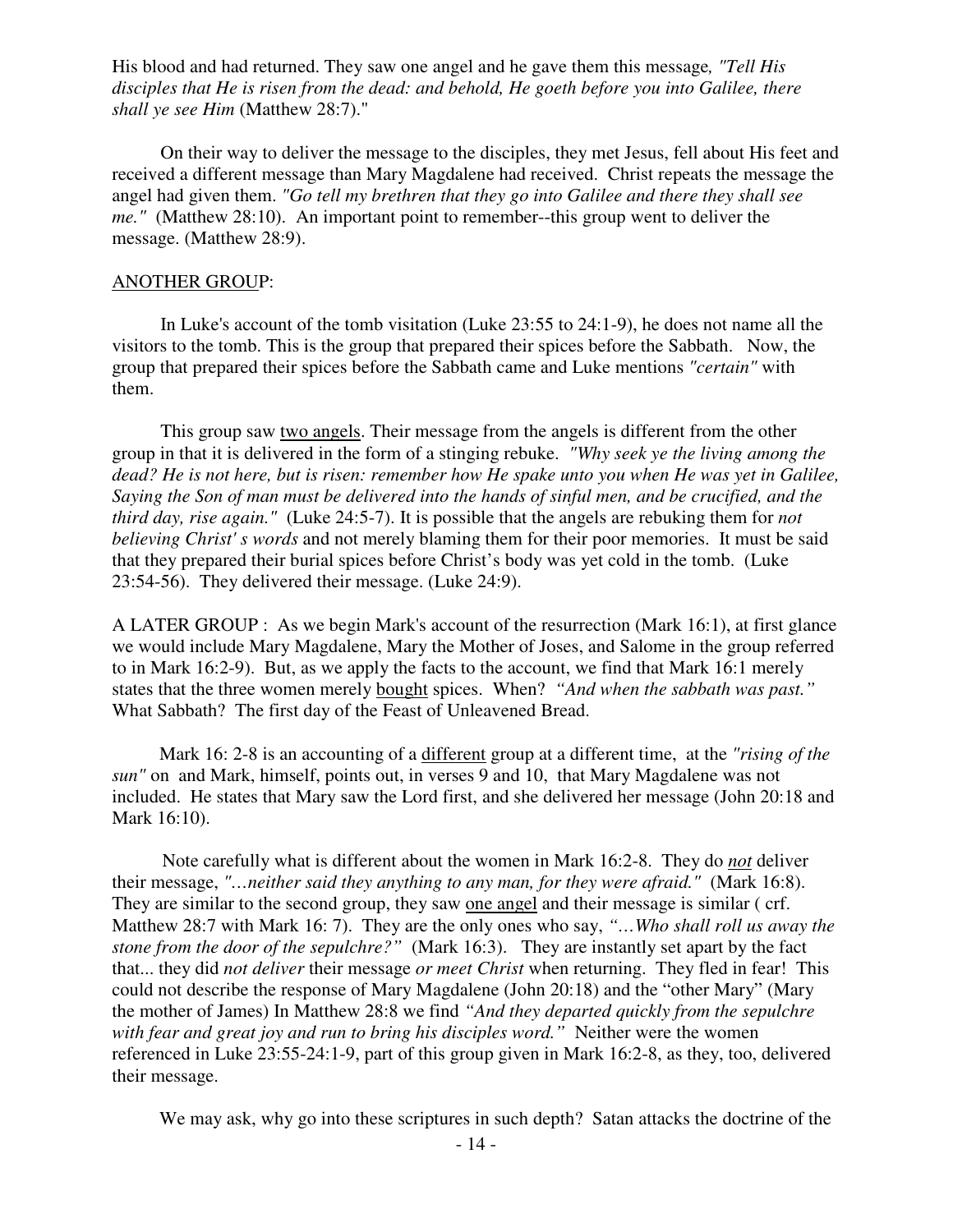His blood and had returned. They saw one angel and he gave them this message*, "Tell His disciples that He is risen from the dead: and behold, He goeth before you into Galilee, there shall ye see Him* (Matthew 28:7)."

On their way to deliver the message to the disciples, they met Jesus, fell about His feet and received a different message than Mary Magdalene had received. Christ repeats the message the angel had given them. *"Go tell my brethren that they go into Galilee and there they shall see me."* (Matthew 28:10). An important point to remember--this group went to deliver the message. (Matthew 28:9).

#### ANOTHER GROUP:

In Luke's account of the tomb visitation (Luke 23:55 to 24:1-9), he does not name all the visitors to the tomb. This is the group that prepared their spices before the Sabbath. Now, the group that prepared their spices before the Sabbath came and Luke mentions *"certain"* with them.

This group saw two angels. Their message from the angels is different from the other group in that it is delivered in the form of a stinging rebuke. *"Why seek ye the living among the dead? He is not here, but is risen: remember how He spake unto you when He was yet in Galilee, Saying the Son of man must be delivered into the hands of sinful men, and be crucified, and the third day, rise again."* (Luke 24:5-7). It is possible that the angels are rebuking them for *not believing Christ' s words* and not merely blaming them for their poor memories. It must be said that they prepared their burial spices before Christ's body was yet cold in the tomb. (Luke 23:54-56). They delivered their message. (Luke 24:9).

A LATER GROUP : As we begin Mark's account of the resurrection (Mark 16:1), at first glance we would include Mary Magdalene, Mary the Mother of Joses, and Salome in the group referred to in Mark 16:2-9). But, as we apply the facts to the account, we find that Mark 16:1 merely states that the three women merely bought spices. When? *"And when the sabbath was past."*  What Sabbath? The first day of the Feast of Unleavened Bread.

 Mark 16: 2-8 is an accounting of a different group at a different time, at the *"rising of the sun"* on and Mark, himself, points out, in verses 9 and 10, that Mary Magdalene was not included. He states that Mary saw the Lord first, and she delivered her message (John 20:18 and Mark 16:10).

Note carefully what is different about the women in Mark 16:2-8. They do *not* deliver their message, *"…neither said they anything to any man, for they were afraid."* (Mark 16:8). They are similar to the second group, they saw one angel and their message is similar ( crf. Matthew 28:7 with Mark 16: 7). They are the only ones who say, *"…Who shall roll us away the stone from the door of the sepulchre?"* (Mark 16:3).They are instantly set apart by the fact that... they did *not deliver* their message *or meet Christ* when returning. They fled in fear! This could not describe the response of Mary Magdalene (John 20:18) and the "other Mary" (Mary the mother of James) In Matthew 28:8 we find *"And they departed quickly from the sepulchre*  with fear and great joy and run to bring his disciples word." Neither were the women referenced in Luke 23:55-24:1-9, part of this group given in Mark 16:2-8, as they, too, delivered their message.

We may ask, why go into these scriptures in such depth? Satan attacks the doctrine of the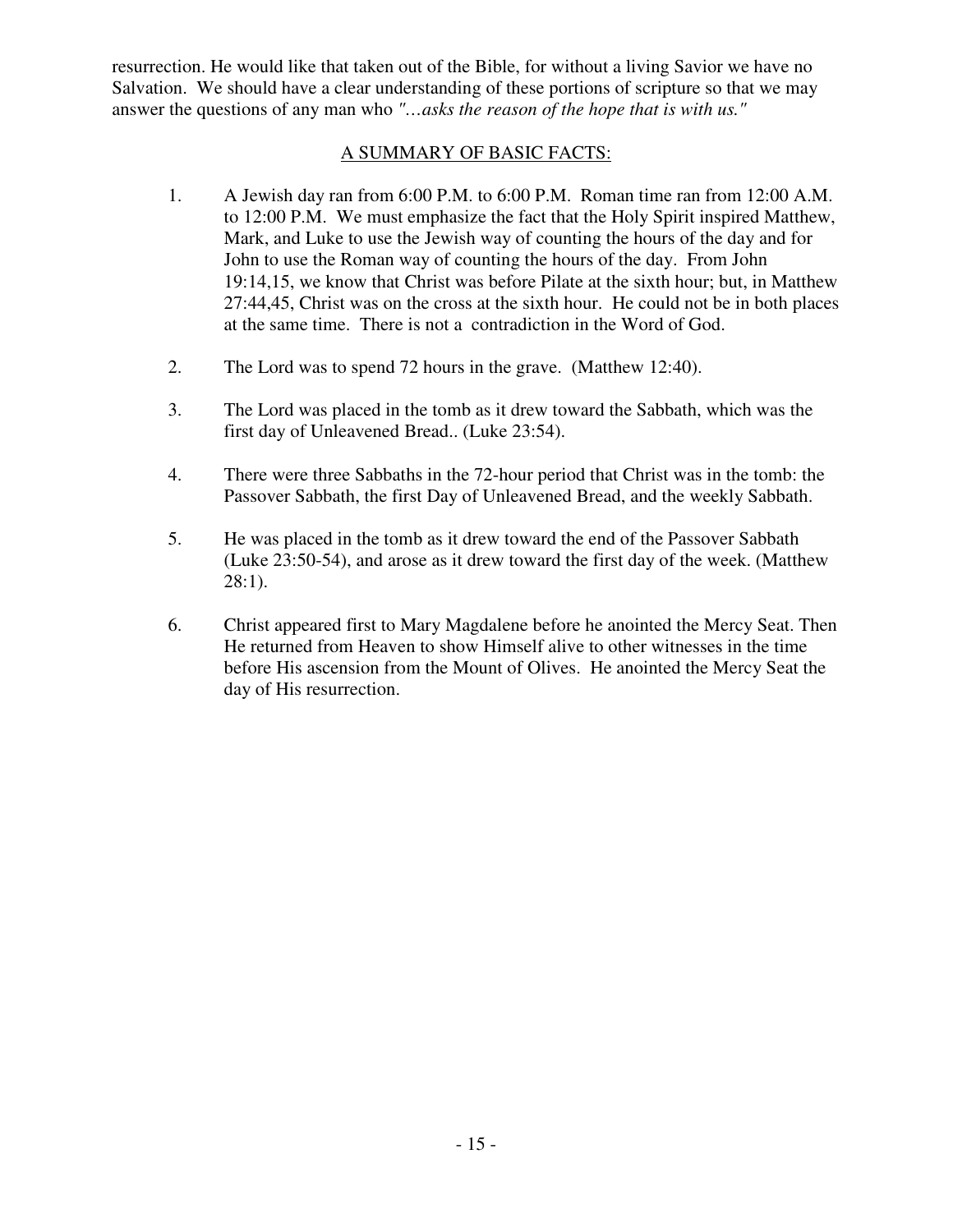resurrection. He would like that taken out of the Bible, for without a living Savior we have no Salvation. We should have a clear understanding of these portions of scripture so that we may answer the questions of any man who *"…asks the reason of the hope that is with us."* 

### A SUMMARY OF BASIC FACTS:

- 1. A Jewish day ran from 6:00 P.M. to 6:00 P.M. Roman time ran from 12:00 A.M. to 12:00 P.M. We must emphasize the fact that the Holy Spirit inspired Matthew, Mark, and Luke to use the Jewish way of counting the hours of the day and for John to use the Roman way of counting the hours of the day. From John 19:14,15, we know that Christ was before Pilate at the sixth hour; but, in Matthew 27:44,45, Christ was on the cross at the sixth hour. He could not be in both places at the same time. There is not a contradiction in the Word of God.
- 2. The Lord was to spend 72 hours in the grave. (Matthew 12:40).
- 3. The Lord was placed in the tomb as it drew toward the Sabbath, which was the first day of Unleavened Bread.. (Luke 23:54).
- 4. There were three Sabbaths in the 72-hour period that Christ was in the tomb: the Passover Sabbath, the first Day of Unleavened Bread, and the weekly Sabbath.
- 5. He was placed in the tomb as it drew toward the end of the Passover Sabbath (Luke 23:50-54), and arose as it drew toward the first day of the week. (Matthew 28:1).
- 6. Christ appeared first to Mary Magdalene before he anointed the Mercy Seat. Then He returned from Heaven to show Himself alive to other witnesses in the time before His ascension from the Mount of Olives. He anointed the Mercy Seat the day of His resurrection.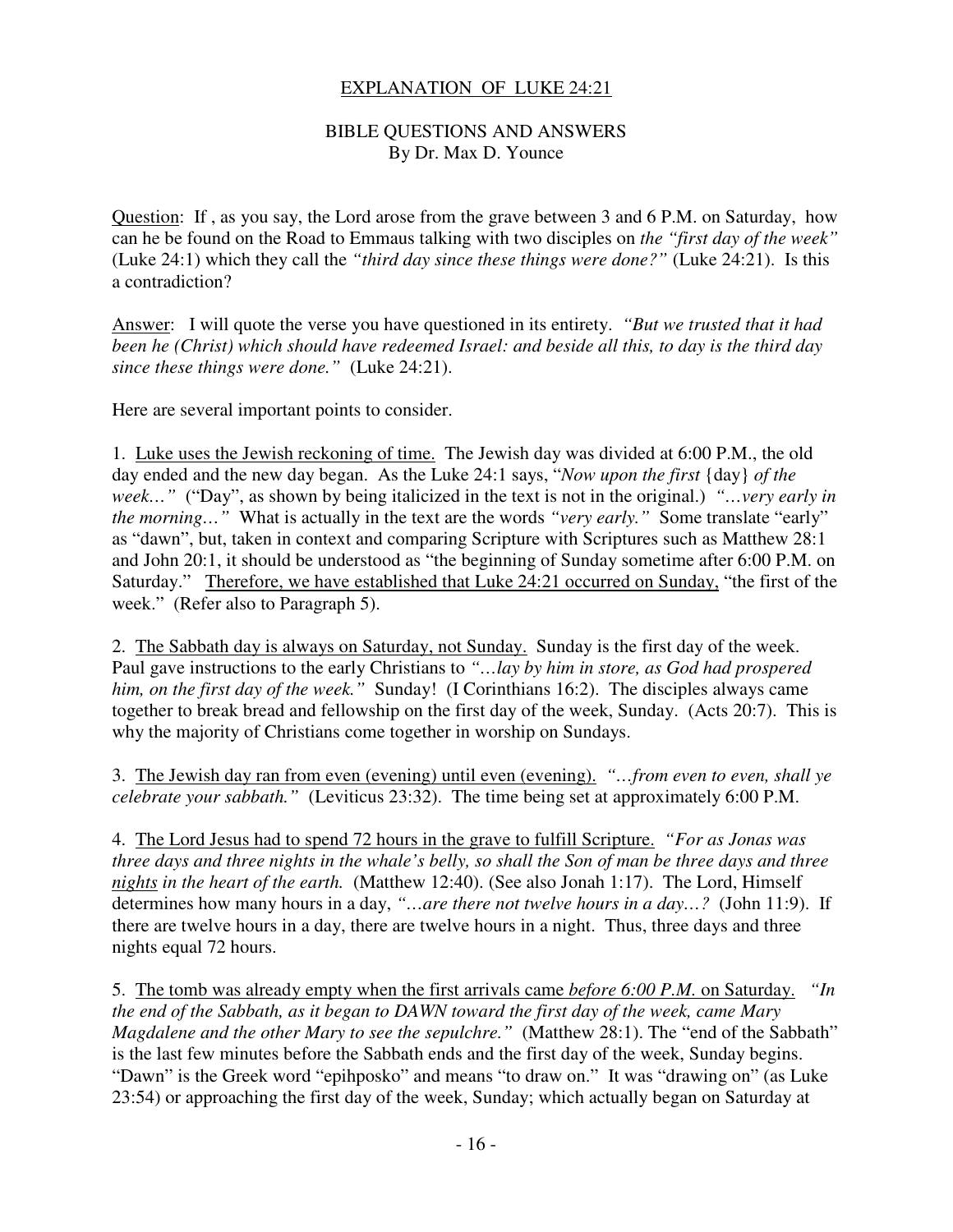#### EXPLANATION OF LUKE 24:21

#### BIBLE QUESTIONS AND ANSWERS By Dr. Max D. Younce

Question: If , as you say, the Lord arose from the grave between 3 and 6 P.M. on Saturday, how can he be found on the Road to Emmaus talking with two disciples on *the "first day of the week"* (Luke 24:1) which they call the *"third day since these things were done?"* (Luke 24:21). Is this a contradiction?

Answer: I will quote the verse you have questioned in its entirety. *"But we trusted that it had been he (Christ) which should have redeemed Israel: and beside all this, to day is the third day since these things were done."* (Luke 24:21).

Here are several important points to consider.

1. Luke uses the Jewish reckoning of time. The Jewish day was divided at 6:00 P.M., the old day ended and the new day began. As the Luke 24:1 says, "*Now upon the first* {day} *of the week…"* ("Day", as shown by being italicized in the text is not in the original.) *"…very early in the morning…"* What is actually in the text are the words *"very early."* Some translate "early" as "dawn", but, taken in context and comparing Scripture with Scriptures such as Matthew 28:1 and John 20:1, it should be understood as "the beginning of Sunday sometime after 6:00 P.M. on Saturday." Therefore, we have established that Luke 24:21 occurred on Sunday, "the first of the week." (Refer also to Paragraph 5).

2. The Sabbath day is always on Saturday, not Sunday. Sunday is the first day of the week. Paul gave instructions to the early Christians to *"…lay by him in store, as God had prospered him, on the first day of the week."* Sunday! (I Corinthians 16:2). The disciples always came together to break bread and fellowship on the first day of the week, Sunday. (Acts 20:7). This is why the majority of Christians come together in worship on Sundays.

3. The Jewish day ran from even (evening) until even (evening). *"…from even to even, shall ye celebrate your sabbath."* (Leviticus 23:32). The time being set at approximately 6:00 P.M.

4. The Lord Jesus had to spend 72 hours in the grave to fulfill Scripture. *"For as Jonas was three days and three nights in the whale's belly, so shall the Son of man be three days and three nights in the heart of the earth.* (Matthew 12:40). (See also Jonah 1:17). The Lord, Himself determines how many hours in a day, *"…are there not twelve hours in a day…?* (John 11:9). If there are twelve hours in a day, there are twelve hours in a night. Thus, three days and three nights equal 72 hours.

5. The tomb was already empty when the first arrivals came *before 6:00 P.M.* on Saturday. *"In the end of the Sabbath, as it began to DAWN toward the first day of the week, came Mary Magdalene and the other Mary to see the sepulchre.*" (Matthew 28:1). The "end of the Sabbath" is the last few minutes before the Sabbath ends and the first day of the week, Sunday begins. "Dawn" is the Greek word "epihposko" and means "to draw on." It was "drawing on" (as Luke 23:54) or approaching the first day of the week, Sunday; which actually began on Saturday at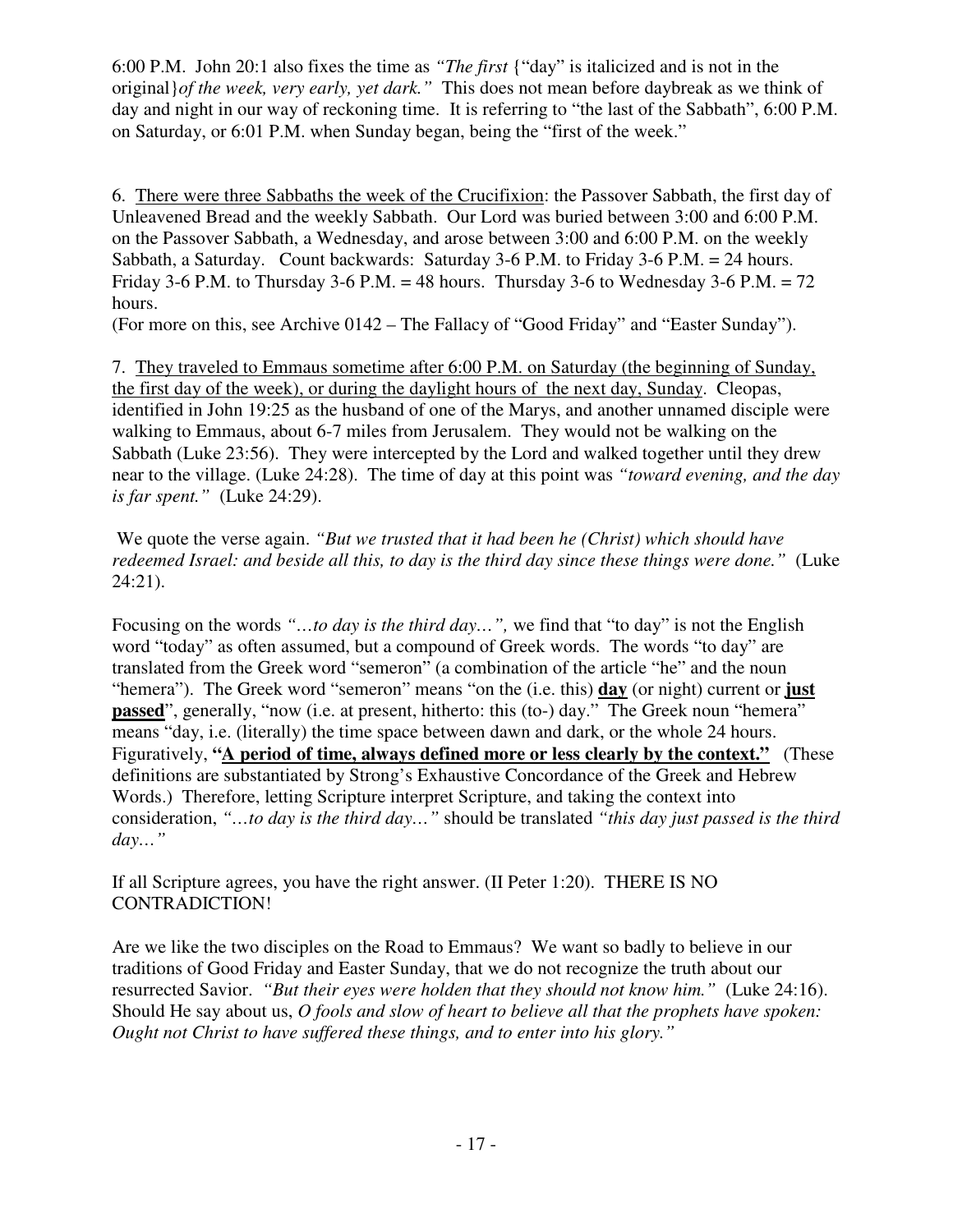6:00 P.M. John 20:1 also fixes the time as *"The first* {"day" is italicized and is not in the original}*of the week, very early, yet dark."* This does not mean before daybreak as we think of day and night in our way of reckoning time. It is referring to "the last of the Sabbath", 6:00 P.M. on Saturday, or 6:01 P.M. when Sunday began, being the "first of the week."

6. There were three Sabbaths the week of the Crucifixion: the Passover Sabbath, the first day of Unleavened Bread and the weekly Sabbath. Our Lord was buried between 3:00 and 6:00 P.M. on the Passover Sabbath, a Wednesday, and arose between 3:00 and 6:00 P.M. on the weekly Sabbath, a Saturday. Count backwards: Saturday 3-6 P.M. to Friday 3-6 P.M. = 24 hours. Friday 3-6 P.M. to Thursday 3-6 P.M. = 48 hours. Thursday 3-6 to Wednesday 3-6 P.M. = 72 hours.

(For more on this, see Archive 0142 – The Fallacy of "Good Friday" and "Easter Sunday").

7. They traveled to Emmaus sometime after 6:00 P.M. on Saturday (the beginning of Sunday, the first day of the week), or during the daylight hours of the next day, Sunday. Cleopas, identified in John 19:25 as the husband of one of the Marys, and another unnamed disciple were walking to Emmaus, about 6-7 miles from Jerusalem. They would not be walking on the Sabbath (Luke 23:56). They were intercepted by the Lord and walked together until they drew near to the village. (Luke 24:28). The time of day at this point was *"toward evening, and the day is far spent."* (Luke 24:29).

 We quote the verse again. *"But we trusted that it had been he (Christ) which should have redeemed Israel: and beside all this, to day is the third day since these things were done."* (Luke 24:21).

Focusing on the words *"…to day is the third day…",* we find that "to day" is not the English word "today" as often assumed, but a compound of Greek words. The words "to day" are translated from the Greek word "semeron" (a combination of the article "he" and the noun "hemera"). The Greek word "semeron" means "on the (i.e. this) **day** (or night) current or **just passed**", generally, "now (i.e. at present, hitherto: this (to-) day." The Greek noun "hemera" means "day, i.e. (literally) the time space between dawn and dark, or the whole 24 hours. Figuratively, "A period of time, always defined more or less clearly by the context." (These definitions are substantiated by Strong's Exhaustive Concordance of the Greek and Hebrew Words.) Therefore, letting Scripture interpret Scripture, and taking the context into consideration, *"…to day is the third day…"* should be translated *"this day just passed is the third day…"* 

If all Scripture agrees, you have the right answer. (II Peter 1:20). THERE IS NO CONTRADICTION!

Are we like the two disciples on the Road to Emmaus? We want so badly to believe in our traditions of Good Friday and Easter Sunday, that we do not recognize the truth about our resurrected Savior. *"But their eyes were holden that they should not know him."* (Luke 24:16). Should He say about us, *O fools and slow of heart to believe all that the prophets have spoken: Ought not Christ to have suffered these things, and to enter into his glory."*